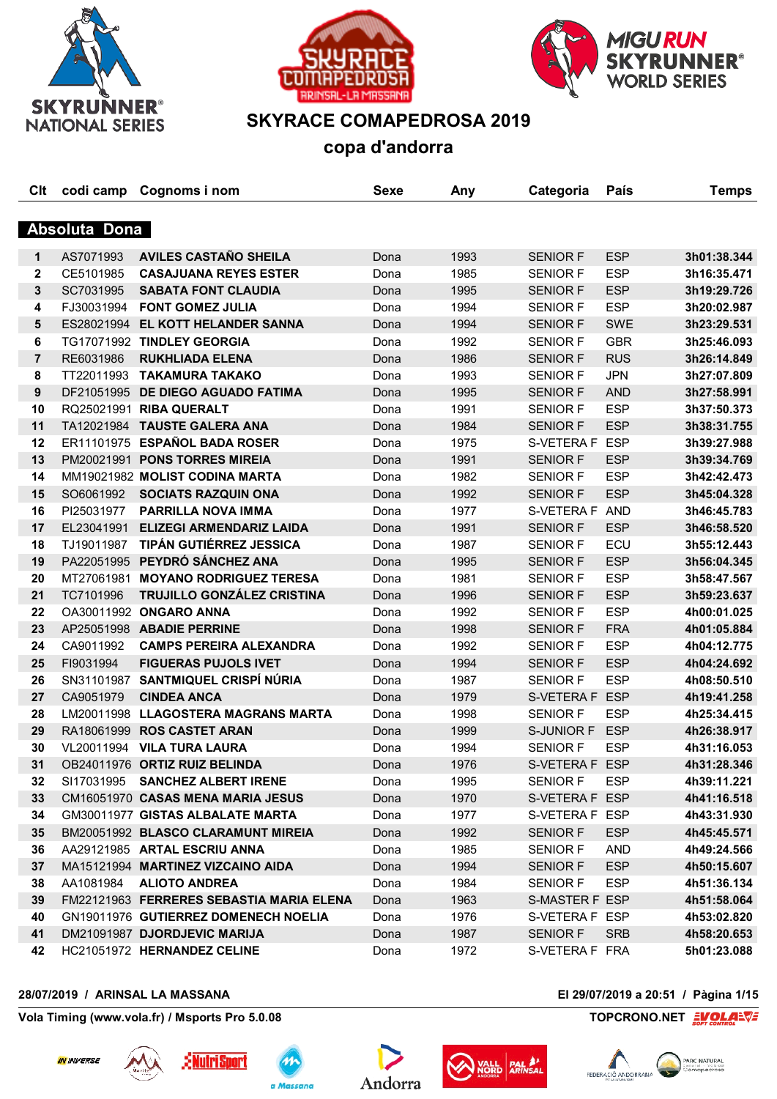





## **SKYRACE COMAPEDROSA 2019**

**copa d'andorra**

| Clt            | codi camp     | Cognoms i nom                            | <b>Sexe</b> | Any  | Categoria       | País       | <b>Temps</b> |
|----------------|---------------|------------------------------------------|-------------|------|-----------------|------------|--------------|
|                |               |                                          |             |      |                 |            |              |
|                | Absoluta Dona |                                          |             |      |                 |            |              |
| $\mathbf 1$    | AS7071993     | <b>AVILES CASTAÑO SHEILA</b>             | Dona        | 1993 | <b>SENIOR F</b> | <b>ESP</b> | 3h01:38.344  |
| $\mathbf{2}$   | CE5101985     | <b>CASAJUANA REYES ESTER</b>             | Dona        | 1985 | <b>SENIOR F</b> | <b>ESP</b> | 3h16:35.471  |
| 3              | SC7031995     | <b>SABATA FONT CLAUDIA</b>               | Dona        | 1995 | <b>SENIOR F</b> | <b>ESP</b> | 3h19:29.726  |
| 4              | FJ30031994    | <b>FONT GOMEZ JULIA</b>                  | Dona        | 1994 | <b>SENIOR F</b> | <b>ESP</b> | 3h20:02.987  |
| 5              |               | ES28021994 EL KOTT HELANDER SANNA        | Dona        | 1994 | <b>SENIOR F</b> | <b>SWE</b> | 3h23:29.531  |
| 6              |               | TG17071992 TINDLEY GEORGIA               | Dona        | 1992 | <b>SENIOR F</b> | <b>GBR</b> | 3h25:46.093  |
| $\overline{7}$ | RE6031986     | <b>RUKHLIADA ELENA</b>                   | Dona        | 1986 | <b>SENIOR F</b> | <b>RUS</b> | 3h26:14.849  |
| 8              | TT22011993    | <b>TAKAMURA TAKAKO</b>                   | Dona        | 1993 | <b>SENIOR F</b> | <b>JPN</b> | 3h27:07.809  |
| 9              | DF21051995    | <b>DE DIEGO AGUADO FATIMA</b>            | Dona        | 1995 | <b>SENIOR F</b> | <b>AND</b> | 3h27:58.991  |
| 10             | RQ25021991    | <b>RIBA QUERALT</b>                      | Dona        | 1991 | <b>SENIOR F</b> | <b>ESP</b> | 3h37:50.373  |
| 11             | TA12021984    | <b>TAUSTE GALERA ANA</b>                 | Dona        | 1984 | <b>SENIOR F</b> | <b>ESP</b> | 3h38:31.755  |
| 12             |               | ER11101975 ESPAÑOL BADA ROSER            | Dona        | 1975 | S-VETERA F ESP  |            | 3h39:27.988  |
| 13             |               | PM20021991 PONS TORRES MIREIA            | Dona        | 1991 | <b>SENIOR F</b> | <b>ESP</b> | 3h39:34.769  |
| 14             |               | MM19021982 MOLIST CODINA MARTA           | Dona        | 1982 | <b>SENIOR F</b> | <b>ESP</b> | 3h42:42.473  |
| 15             | SO6061992     | <b>SOCIATS RAZQUIN ONA</b>               | Dona        | 1992 | <b>SENIOR F</b> | <b>ESP</b> | 3h45:04.328  |
| 16             | PI25031977    | <b>PARRILLA NOVA IMMA</b>                | Dona        | 1977 | S-VETERA F AND  |            | 3h46:45.783  |
| 17             | EL23041991    | <b>ELIZEGI ARMENDARIZ LAIDA</b>          | Dona        | 1991 | <b>SENIOR F</b> | <b>ESP</b> | 3h46:58.520  |
| 18             | TJ19011987    | <b>TIPÁN GUTIÉRREZ JESSICA</b>           | Dona        | 1987 | <b>SENIOR F</b> | ECU        | 3h55:12.443  |
| 19             | PA22051995    | PEYDRÓ SÁNCHEZ ANA                       | Dona        | 1995 | <b>SENIOR F</b> | <b>ESP</b> | 3h56:04.345  |
| 20             | MT27061981    | <b>MOYANO RODRIGUEZ TERESA</b>           | Dona        | 1981 | <b>SENIOR F</b> | <b>ESP</b> | 3h58:47.567  |
| 21             | TC7101996     | TRUJILLO GONZÁLEZ CRISTINA               | Dona        | 1996 | <b>SENIOR F</b> | <b>ESP</b> | 3h59:23.637  |
| 22             |               | OA30011992 ONGARO ANNA                   | Dona        | 1992 | <b>SENIOR F</b> | <b>ESP</b> | 4h00:01.025  |
| 23             |               | AP25051998 ABADIE PERRINE                | Dona        | 1998 | <b>SENIOR F</b> | <b>FRA</b> | 4h01:05.884  |
| 24             | CA9011992     | <b>CAMPS PEREIRA ALEXANDRA</b>           | Dona        | 1992 | <b>SENIOR F</b> | <b>ESP</b> | 4h04:12.775  |
| 25             | FI9031994     | <b>FIGUERAS PUJOLS IVET</b>              | Dona        | 1994 | <b>SENIOR F</b> | <b>ESP</b> | 4h04:24.692  |
| 26             | SN31101987    | SANTMIQUEL CRISPÍ NÚRIA                  | Dona        | 1987 | <b>SENIOR F</b> | <b>ESP</b> | 4h08:50.510  |
| 27             | CA9051979     | <b>CINDEA ANCA</b>                       | Dona        | 1979 | S-VETERA F ESP  |            | 4h19:41.258  |
| 28             |               | LM20011998 LLAGOSTERA MAGRANS MARTA      | Dona        | 1998 | <b>SENIOR F</b> | <b>ESP</b> | 4h25:34.415  |
| 29             | RA18061999    | <b>ROS CASTET ARAN</b>                   | Dona        | 1999 | S-JUNIOR F      | <b>ESP</b> | 4h26:38.917  |
| 30             |               | VL20011994 VILA TURA LAURA               | Dona        | 1994 | <b>SENIOR F</b> | <b>ESP</b> | 4h31:16.053  |
| 31             |               | OB24011976 ORTIZ RUIZ BELINDA            | Dona        | 1976 | S-VETERA F ESP  |            | 4h31:28.346  |
| 32             |               | SI17031995 SANCHEZ ALBERT IRENE          | Dona        | 1995 | <b>SENIOR F</b> | <b>ESP</b> | 4h39:11.221  |
| 33             |               | CM16051970 CASAS MENA MARIA JESUS        | Dona        | 1970 | S-VETERA F ESP  |            | 4h41:16.518  |
| 34             |               | GM30011977 GISTAS ALBALATE MARTA         | Dona        | 1977 | S-VETERA F ESP  |            | 4h43:31.930  |
| 35             |               | BM20051992 BLASCO CLARAMUNT MIREIA       | Dona        | 1992 | <b>SENIOR F</b> | <b>ESP</b> | 4h45:45.571  |
| 36             |               | AA29121985 ARTAL ESCRIU ANNA             | Dona        | 1985 | <b>SENIOR F</b> | AND        | 4h49:24.566  |
| 37             |               | MA15121994 MARTINEZ VIZCAINO AIDA        | Dona        | 1994 | <b>SENIOR F</b> | <b>ESP</b> | 4h50:15.607  |
| 38             | AA1081984     | <b>ALIOTO ANDREA</b>                     | Dona        | 1984 | <b>SENIOR F</b> | <b>ESP</b> | 4h51:36.134  |
| 39             |               | FM22121963 FERRERES SEBASTIA MARIA ELENA | Dona        | 1963 | S-MASTER F ESP  |            | 4h51:58.064  |
| 40             |               | GN19011976 GUTIERREZ DOMENECH NOELIA     | Dona        | 1976 | S-VETERA F ESP  |            | 4h53:02.820  |
| 41             |               | DM21091987 DJORDJEVIC MARIJA             | Dona        | 1987 | <b>SENIOR F</b> | <b>SRB</b> | 4h58:20.653  |
| 42             |               | HC21051972 HERNANDEZ CELINE              | Dona        | 1972 | S-VETERA F FRA  |            | 5h01:23.088  |

## **28/07/2019 / ARINSAL LA MASSANA El 29/07/2019 a 20:51 / Pàgina 1/15**











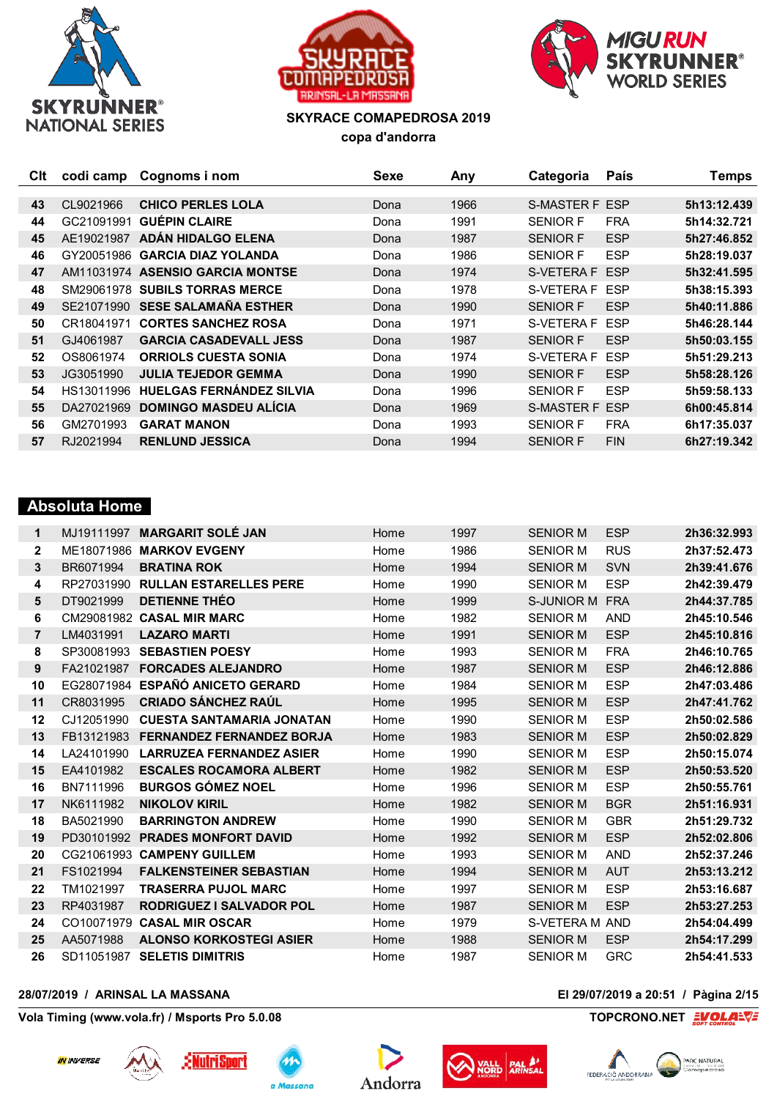





| Clt | codi camp  | Cognoms i nom                    | Sexe | Any  | Categoria             | País       | <b>Temps</b> |
|-----|------------|----------------------------------|------|------|-----------------------|------------|--------------|
|     |            |                                  |      |      |                       |            |              |
| 43  | CL9021966  | <b>CHICO PERLES LOLA</b>         | Dona | 1966 | S-MASTER F ESP        |            | 5h13:12.439  |
| 44  | GC21091991 | <b>GUÉPIN CLAIRE</b>             | Dona | 1991 | <b>SENIOR F</b>       | <b>FRA</b> | 5h14:32.721  |
| 45  | AE19021987 | ADÁN HIDALGO ELENA               | Dona | 1987 | <b>SENIOR F</b>       | <b>ESP</b> | 5h27:46.852  |
| 46  | GY20051986 | <b>GARCIA DIAZ YOLANDA</b>       | Dona | 1986 | <b>SENIOR F</b>       | <b>ESP</b> | 5h28:19.037  |
| 47  |            | AM11031974 ASENSIO GARCIA MONTSE | Dona | 1974 | S-VETERA F ESP        |            | 5h32:41.595  |
| 48  | SM29061978 | <b>SUBILS TORRAS MERCE</b>       | Dona | 1978 | S-VETERA F            | <b>ESP</b> | 5h38:15.393  |
| 49  | SE21071990 | <b>SESE SALAMAÑA ESTHER</b>      | Dona | 1990 | <b>SENIOR F</b>       | <b>ESP</b> | 5h40:11.886  |
| 50  | CR18041971 | <b>CORTES SANCHEZ ROSA</b>       | Dona | 1971 | S-VETERA F            | <b>ESP</b> | 5h46:28.144  |
| 51  | GJ4061987  | <b>GARCIA CASADEVALL JESS</b>    | Dona | 1987 | <b>SENIOR F</b>       | <b>ESP</b> | 5h50:03.155  |
| 52  | OS8061974  | <b>ORRIOLS CUESTA SONIA</b>      | Dona | 1974 | S-VETERA F            | <b>ESP</b> | 5h51:29.213  |
| 53  | JG3051990  | <b>JULIA TEJEDOR GEMMA</b>       | Dona | 1990 | <b>SENIOR F</b>       | <b>ESP</b> | 5h58:28.126  |
| 54  | HS13011996 | <b>HUELGAS FERNÁNDEZ SILVIA</b>  | Dona | 1996 | <b>SENIOR F</b>       | <b>ESP</b> | 5h59:58.133  |
| 55  | DA27021969 | <b>DOMINGO MASDEU ALÍCIA</b>     | Dona | 1969 | <b>S-MASTER F ESP</b> |            | 6h00:45.814  |
| 56  | GM2701993  | <b>GARAT MANON</b>               | Dona | 1993 | <b>SENIOR F</b>       | <b>FRA</b> | 6h17:35.037  |
| 57  | RJ2021994  | <b>RENLUND JESSICA</b>           | Dona | 1994 | <b>SENIOR F</b>       | <b>FIN</b> | 6h27:19.342  |
|     |            |                                  |      |      |                       |            |              |

## **Absoluta Home**

| 1            | MJ19111997 | <b>MARGARIT SOLÉ JAN</b>         | Home | 1997 | <b>SENIOR M</b> | <b>ESP</b> | 2h36:32.993 |
|--------------|------------|----------------------------------|------|------|-----------------|------------|-------------|
| $\mathbf{2}$ | ME18071986 | <b>MARKOV EVGENY</b>             | Home | 1986 | <b>SENIOR M</b> | <b>RUS</b> | 2h37:52.473 |
| 3            | BR6071994  | <b>BRATINA ROK</b>               | Home | 1994 | <b>SENIOR M</b> | <b>SVN</b> | 2h39:41.676 |
| 4            | RP27031990 | <b>RULLAN ESTARELLES PERE</b>    | Home | 1990 | <b>SENIOR M</b> | <b>ESP</b> | 2h42:39.479 |
| 5            | DT9021999  | <b>DETIENNE THÉO</b>             | Home | 1999 | S-JUNIOR M FRA  |            | 2h44:37.785 |
| 6            |            | CM29081982 CASAL MIR MARC        | Home | 1982 | <b>SENIOR M</b> | <b>AND</b> | 2h45:10.546 |
| 7            | LM4031991  | <b>LAZARO MARTI</b>              | Home | 1991 | <b>SENIOR M</b> | <b>ESP</b> | 2h45:10.816 |
| 8            | SP30081993 | <b>SEBASTIEN POESY</b>           | Home | 1993 | <b>SENIOR M</b> | <b>FRA</b> | 2h46:10.765 |
| 9            | FA21021987 | <b>FORCADES ALEJANDRO</b>        | Home | 1987 | <b>SENIOR M</b> | <b>ESP</b> | 2h46:12.886 |
| 10           | EG28071984 | <b>ESPAÑÓ ANICETO GERARD</b>     | Home | 1984 | <b>SENIOR M</b> | <b>ESP</b> | 2h47:03.486 |
| 11           | CR8031995  | <b>CRIADO SÁNCHEZ RAÚL</b>       | Home | 1995 | <b>SENIOR M</b> | <b>ESP</b> | 2h47:41.762 |
| $12 \,$      | CJ12051990 | <b>CUESTA SANTAMARIA JONATAN</b> | Home | 1990 | <b>SENIOR M</b> | <b>ESP</b> | 2h50:02.586 |
| 13           | FB13121983 | <b>FERNANDEZ FERNANDEZ BORJA</b> | Home | 1983 | <b>SENIOR M</b> | <b>ESP</b> | 2h50:02.829 |
| 14           | LA24101990 | <b>LARRUZEA FERNANDEZ ASIER</b>  | Home | 1990 | <b>SENIOR M</b> | <b>ESP</b> | 2h50:15.074 |
| 15           | EA4101982  | <b>ESCALES ROCAMORA ALBERT</b>   | Home | 1982 | <b>SENIOR M</b> | <b>ESP</b> | 2h50:53.520 |
| 16           | BN7111996  | <b>BURGOS GÓMEZ NOEL</b>         | Home | 1996 | <b>SENIOR M</b> | <b>ESP</b> | 2h50:55.761 |
| 17           | NK6111982  | <b>NIKOLOV KIRIL</b>             | Home | 1982 | <b>SENIOR M</b> | <b>BGR</b> | 2h51:16.931 |
| 18           | BA5021990  | <b>BARRINGTON ANDREW</b>         | Home | 1990 | <b>SENIOR M</b> | <b>GBR</b> | 2h51:29.732 |
| 19           | PD30101992 | <b>PRADES MONFORT DAVID</b>      | Home | 1992 | <b>SENIOR M</b> | <b>ESP</b> | 2h52:02.806 |
| 20           |            | CG21061993 CAMPENY GUILLEM       | Home | 1993 | <b>SENIOR M</b> | <b>AND</b> | 2h52:37.246 |
| 21           | FS1021994  | <b>FALKENSTEINER SEBASTIAN</b>   | Home | 1994 | <b>SENIOR M</b> | <b>AUT</b> | 2h53:13.212 |
| 22           | TM1021997  | <b>TRASERRA PUJOL MARC</b>       | Home | 1997 | <b>SENIOR M</b> | <b>ESP</b> | 2h53:16.687 |
| 23           | RP4031987  | <b>RODRIGUEZ I SALVADOR POL</b>  | Home | 1987 | <b>SENIOR M</b> | <b>ESP</b> | 2h53:27.253 |
| 24           |            | CO10071979 CASAL MIR OSCAR       | Home | 1979 | S-VETERA M AND  |            | 2h54:04.499 |
| 25           | AA5071988  | <b>ALONSO KORKOSTEGI ASIER</b>   | Home | 1988 | <b>SENIOR M</b> | <b>ESP</b> | 2h54:17.299 |
| 26           | SD11051987 | <b>SELETIS DIMITRIS</b>          | Home | 1987 | <b>SENIOR M</b> | <b>GRC</b> | 2h54:41.533 |
|              |            |                                  |      |      |                 |            |             |

## **28/07/2019 / ARINSAL LA MASSANA El 29/07/2019 a 20:51 / Pàgina 2/15**

**Vola Timing (www.vola.fr) / Msports Pro 5.0.08 TOPCRONO.NET**  $\frac{2VOL}{S}$ 











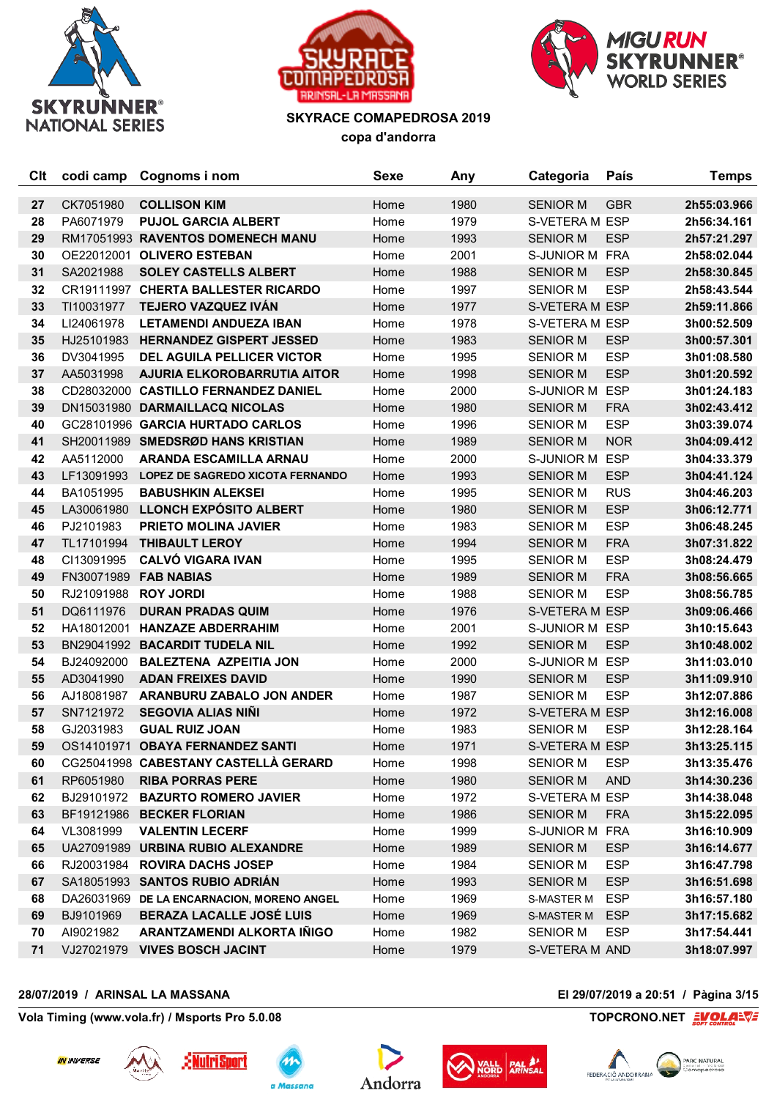





| <b>C<sub>It</sub></b> | codi camp  | Cognoms i nom                           | <b>Sexe</b> | Any  | Categoria         | País       | <b>Temps</b> |
|-----------------------|------------|-----------------------------------------|-------------|------|-------------------|------------|--------------|
| 27                    | CK7051980  | <b>COLLISON KIM</b>                     | Home        | 1980 | <b>SENIOR M</b>   | <b>GBR</b> | 2h55:03.966  |
| 28                    | PA6071979  | <b>PUJOL GARCIA ALBERT</b>              | Home        | 1979 | S-VETERA M ESP    |            | 2h56:34.161  |
| 29                    |            | RM17051993 RAVENTOS DOMENECH MANU       | Home        | 1993 | <b>SENIOR M</b>   | <b>ESP</b> | 2h57:21.297  |
| 30                    |            | OE22012001 OLIVERO ESTEBAN              | Home        | 2001 | S-JUNIOR M FRA    |            | 2h58:02.044  |
| 31                    | SA2021988  | <b>SOLEY CASTELLS ALBERT</b>            | Home        | 1988 | <b>SENIOR M</b>   | <b>ESP</b> | 2h58:30.845  |
| 32                    |            | CR19111997 CHERTA BALLESTER RICARDO     | Home        | 1997 | <b>SENIOR M</b>   | <b>ESP</b> | 2h58:43.544  |
| 33                    | TI10031977 | TEJERO VAZQUEZ IVÁN                     | Home        | 1977 | S-VETERA M ESP    |            | 2h59:11.866  |
| 34                    | LI24061978 | <b>LETAMENDI ANDUEZA IBAN</b>           | Home        | 1978 | S-VETERA M ESP    |            | 3h00:52.509  |
| 35                    | HJ25101983 | <b>HERNANDEZ GISPERT JESSED</b>         | Home        | 1983 | <b>SENIOR M</b>   | <b>ESP</b> | 3h00:57.301  |
| 36                    | DV3041995  | <b>DEL AGUILA PELLICER VICTOR</b>       | Home        | 1995 | <b>SENIOR M</b>   | <b>ESP</b> | 3h01:08.580  |
| 37                    | AA5031998  | <b>AJURIA ELKOROBARRUTIA AITOR</b>      | Home        | 1998 | <b>SENIOR M</b>   | <b>ESP</b> | 3h01:20.592  |
| 38                    |            | CD28032000 CASTILLO FERNANDEZ DANIEL    | Home        | 2000 | S-JUNIOR M        | <b>ESP</b> | 3h01:24.183  |
| 39                    |            | DN15031980 DARMAILLACQ NICOLAS          | Home        | 1980 | <b>SENIOR M</b>   | <b>FRA</b> | 3h02:43.412  |
| 40                    |            | GC28101996 GARCIA HURTADO CARLOS        | Home        | 1996 | <b>SENIOR M</b>   | <b>ESP</b> | 3h03:39.074  |
| 41                    |            | SH20011989 SMEDSRØD HANS KRISTIAN       | Home        | 1989 | <b>SENIOR M</b>   | <b>NOR</b> | 3h04:09.412  |
| 42                    | AA5112000  | <b>ARANDA ESCAMILLA ARNAU</b>           | Home        | 2000 | S-JUNIOR M ESP    |            | 3h04:33.379  |
| 43                    | LF13091993 | <b>LOPEZ DE SAGREDO XICOTA FERNANDO</b> | Home        | 1993 | <b>SENIOR M</b>   | <b>ESP</b> | 3h04:41.124  |
| 44                    | BA1051995  | <b>BABUSHKIN ALEKSEI</b>                | Home        | 1995 | <b>SENIOR M</b>   | <b>RUS</b> | 3h04:46.203  |
| 45                    |            | LA30061980 LLONCH EXPÓSITO ALBERT       | Home        | 1980 | <b>SENIOR M</b>   | <b>ESP</b> | 3h06:12.771  |
| 46                    | PJ2101983  | <b>PRIETO MOLINA JAVIER</b>             | Home        | 1983 | <b>SENIOR M</b>   | <b>ESP</b> | 3h06:48.245  |
| 47                    | TL17101994 | <b>THIBAULT LEROY</b>                   | Home        | 1994 | <b>SENIOR M</b>   | <b>FRA</b> | 3h07:31.822  |
| 48                    | CI13091995 | <b>CALVÓ VIGARA IVAN</b>                | Home        | 1995 | <b>SENIOR M</b>   | <b>ESP</b> | 3h08:24.479  |
| 49                    | FN30071989 | <b>FAB NABIAS</b>                       | Home        | 1989 | <b>SENIOR M</b>   | <b>FRA</b> | 3h08:56.665  |
| 50                    | RJ21091988 | <b>ROY JORDI</b>                        | Home        | 1988 | <b>SENIOR M</b>   | <b>ESP</b> | 3h08:56.785  |
| 51                    | DQ6111976  | <b>DURAN PRADAS QUIM</b>                | Home        | 1976 | S-VETERA M ESP    |            | 3h09:06.466  |
| 52                    |            | HA18012001 HANZAZE ABDERRAHIM           | Home        | 2001 | S-JUNIOR M ESP    |            | 3h10:15.643  |
| 53                    |            | BN29041992 BACARDIT TUDELA NIL          | Home        | 1992 | <b>SENIOR M</b>   | <b>ESP</b> | 3h10:48.002  |
| 54                    | BJ24092000 | <b>BALEZTENA AZPEITIA JON</b>           | Home        | 2000 | S-JUNIOR M ESP    |            | 3h11:03.010  |
| 55                    | AD3041990  | <b>ADAN FREIXES DAVID</b>               | Home        | 1990 | <b>SENIOR M</b>   | <b>ESP</b> | 3h11:09.910  |
| 56                    | AJ18081987 | <b>ARANBURU ZABALO JON ANDER</b>        | Home        | 1987 | <b>SENIOR M</b>   | <b>ESP</b> | 3h12:07.886  |
| 57                    | SN7121972  | <b>SEGOVIA ALIAS NINI</b>               | Home        | 1972 | S-VETERA M ESP    |            | 3h12:16.008  |
| 58                    | GJ2031983  | <b>GUAL RUIZ JOAN</b>                   | Home        | 1983 | <b>SENIOR M</b>   | <b>ESP</b> | 3h12:28.164  |
| 59                    |            | OS14101971 OBAYA FERNANDEZ SANTI        | Home        | 1971 | S-VETERA M ESP    |            | 3h13:25.115  |
| 60                    |            | CG25041998 CABESTANY CASTELLA GERARD    | Home        | 1998 | <b>SENIOR M</b>   | <b>ESP</b> | 3h13:35.476  |
| 61                    | RP6051980  | <b>RIBA PORRAS PERE</b>                 | Home        | 1980 | <b>SENIOR M</b>   | <b>AND</b> | 3h14:30.236  |
| 62                    | BJ29101972 | <b>BAZURTO ROMERO JAVIER</b>            | Home        | 1972 | S-VETERA M ESP    |            | 3h14:38.048  |
| 63                    |            | BF19121986 BECKER FLORIAN               | Home        | 1986 | <b>SENIOR M</b>   | <b>FRA</b> | 3h15:22.095  |
| 64                    | VL3081999  | <b>VALENTIN LECERF</b>                  | Home        | 1999 | S-JUNIOR M FRA    |            | 3h16:10.909  |
| 65                    |            | UA27091989 URBINA RUBIO ALEXANDRE       | Home        | 1989 | <b>SENIOR M</b>   | <b>ESP</b> | 3h16:14.677  |
| 66                    | RJ20031984 | <b>ROVIRA DACHS JOSEP</b>               | Home        | 1984 | <b>SENIOR M</b>   | <b>ESP</b> | 3h16:47.798  |
| 67                    | SA18051993 | <b>SANTOS RUBIO ADRIÁN</b>              | Home        | 1993 | <b>SENIOR M</b>   | <b>ESP</b> | 3h16:51.698  |
| 68                    | DA26031969 | DE LA ENCARNACION, MORENO ANGEL         | Home        | 1969 | <b>S-MASTER M</b> | <b>ESP</b> | 3h16:57.180  |
| 69                    | BJ9101969  | <b>BERAZA LACALLE JOSÉ LUIS</b>         | Home        | 1969 | <b>S-MASTER M</b> | <b>ESP</b> | 3h17:15.682  |
| 70                    | AI9021982  | ARANTZAMENDI ALKORTA IÑIGO              | Home        | 1982 | <b>SENIOR M</b>   | <b>ESP</b> | 3h17:54.441  |
| 71                    |            | VJ27021979 VIVES BOSCH JACINT           | Home        | 1979 | S-VETERA M AND    |            | 3h18:07.997  |

## **28/07/2019 / ARINSAL LA MASSANA El 29/07/2019 a 20:51 / Pàgina 3/15**











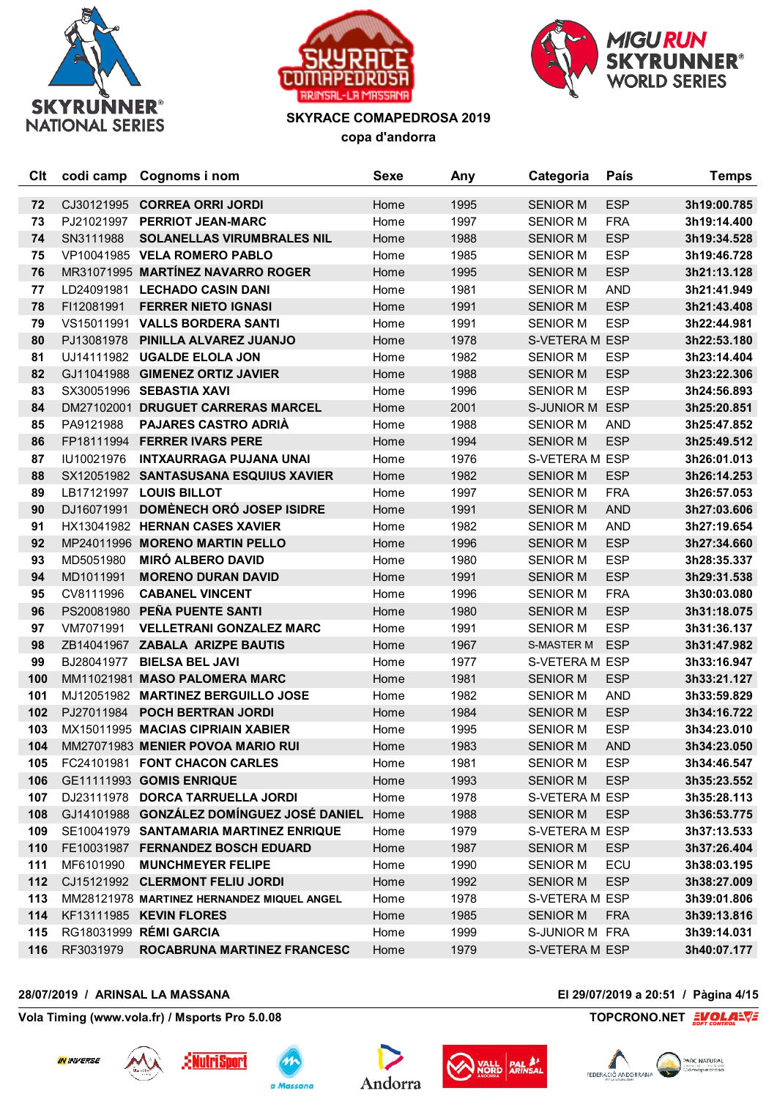





| Clt | codi camp  | Cognoms i nom                              | <b>Sexe</b> | Any  | Categoria       | País       | <b>Temps</b> |
|-----|------------|--------------------------------------------|-------------|------|-----------------|------------|--------------|
| 72  | CJ30121995 | <b>CORREA ORRI JORDI</b>                   | Home        | 1995 | <b>SENIOR M</b> | <b>ESP</b> | 3h19:00.785  |
| 73  | PJ21021997 | <b>PERRIOT JEAN-MARC</b>                   | Home        | 1997 | <b>SENIOR M</b> | <b>FRA</b> | 3h19:14.400  |
| 74  | SN3111988  | <b>SOLANELLAS VIRUMBRALES NIL</b>          | Home        | 1988 | <b>SENIOR M</b> | <b>ESP</b> | 3h19:34.528  |
| 75  |            | VP10041985 VELA ROMERO PABLO               | Home        | 1985 | <b>SENIOR M</b> | <b>ESP</b> | 3h19:46.728  |
| 76  |            | MR31071995 MARTÍNEZ NAVARRO ROGER          | Home        | 1995 | <b>SENIOR M</b> | <b>ESP</b> | 3h21:13.128  |
| 77  |            | LD24091981 LECHADO CASIN DANI              | Home        | 1981 | <b>SENIOR M</b> | <b>AND</b> | 3h21:41.949  |
| 78  | FI12081991 | <b>FERRER NIETO IGNASI</b>                 | Home        | 1991 | <b>SENIOR M</b> | <b>ESP</b> | 3h21:43.408  |
| 79  |            | VS15011991 VALLS BORDERA SANTI             | Home        | 1991 | <b>SENIOR M</b> | <b>ESP</b> | 3h22:44.981  |
| 80  | PJ13081978 | PINILLA ALVAREZ JUANJO                     | Home        | 1978 | S-VETERA M ESP  |            | 3h22:53.180  |
| 81  |            | UJ14111982 UGALDE ELOLA JON                | Home        | 1982 | <b>SENIOR M</b> | <b>ESP</b> | 3h23:14.404  |
| 82  |            | GJ11041988 GIMENEZ ORTIZ JAVIER            | Home        | 1988 | <b>SENIOR M</b> | <b>ESP</b> | 3h23:22.306  |
| 83  |            | SX30051996 SEBASTIA XAVI                   | Home        | 1996 | <b>SENIOR M</b> | <b>ESP</b> | 3h24:56.893  |
| 84  |            | DM27102001 DRUGUET CARRERAS MARCEL         | Home        | 2001 | S-JUNIOR M ESP  |            | 3h25:20.851  |
| 85  | PA9121988  | <b>PAJARES CASTRO ADRIÀ</b>                | Home        | 1988 | <b>SENIOR M</b> | <b>AND</b> | 3h25:47.852  |
| 86  |            | FP18111994 FERRER IVARS PERE               | Home        | 1994 | <b>SENIOR M</b> | <b>ESP</b> | 3h25:49.512  |
| 87  | IU10021976 | <b>INTXAURRAGA PUJANA UNAI</b>             | Home        | 1976 | S-VETERA M ESP  |            | 3h26:01.013  |
| 88  |            | SX12051982 SANTASUSANA ESQUIUS XAVIER      | Home        | 1982 | <b>SENIOR M</b> | <b>ESP</b> | 3h26:14.253  |
| 89  |            | LB17121997 LOUIS BILLOT                    | Home        | 1997 | <b>SENIOR M</b> | <b>FRA</b> | 3h26:57.053  |
| 90  |            | DJ16071991 DOMÈNECH ORÓ JOSEP ISIDRE       | Home        | 1991 | <b>SENIOR M</b> | <b>AND</b> | 3h27:03.606  |
| 91  |            | HX13041982 HERNAN CASES XAVIER             | Home        | 1982 | <b>SENIOR M</b> | <b>AND</b> | 3h27:19.654  |
| 92  |            | MP24011996 MORENO MARTIN PELLO             | Home        | 1996 | <b>SENIOR M</b> | <b>ESP</b> | 3h27:34.660  |
| 93  | MD5051980  | <b>MIRÓ ALBERO DAVID</b>                   | Home        | 1980 | <b>SENIOR M</b> | <b>ESP</b> | 3h28:35.337  |
| 94  | MD1011991  | <b>MORENO DURAN DAVID</b>                  | Home        | 1991 | <b>SENIOR M</b> | <b>ESP</b> | 3h29:31.538  |
| 95  | CV8111996  | <b>CABANEL VINCENT</b>                     | Home        | 1996 | <b>SENIOR M</b> | <b>FRA</b> | 3h30:03.080  |
| 96  |            | PS20081980 PEÑA PUENTE SANTI               | Home        | 1980 | <b>SENIOR M</b> | <b>ESP</b> | 3h31:18.075  |
| 97  | VM7071991  | <b>VELLETRANI GONZALEZ MARC</b>            | Home        | 1991 | <b>SENIOR M</b> | <b>ESP</b> | 3h31:36.137  |
| 98  |            | ZB14041967 ZABALA ARIZPE BAUTIS            | Home        | 1967 | S-MASTER M      | <b>ESP</b> | 3h31:47.982  |
| 99  | BJ28041977 | <b>BIELSA BEL JAVI</b>                     | Home        | 1977 | S-VETERA M ESP  |            | 3h33:16.947  |
| 100 |            | MM11021981 MASO PALOMERA MARC              | Home        | 1981 | <b>SENIOR M</b> | <b>ESP</b> | 3h33:21.127  |
| 101 |            | MJ12051982 MARTINEZ BERGUILLO JOSE         | Home        | 1982 | <b>SENIOR M</b> | <b>AND</b> | 3h33:59.829  |
| 102 |            | PJ27011984 POCH BERTRAN JORDI              | Home        | 1984 | <b>SENIOR M</b> | <b>ESP</b> | 3h34:16.722  |
| 103 |            | MX15011995 MACIAS CIPRIAIN XABIER          | Home        | 1995 | <b>SENIOR M</b> | <b>ESP</b> | 3h34:23.010  |
| 104 |            | MM27071983 MENIER POVOA MARIO RUI          | Home        | 1983 | <b>SENIOR M</b> | <b>AND</b> | 3h34:23.050  |
| 105 |            | FC24101981 FONT CHACON CARLES              | Home        | 1981 | <b>SENIOR M</b> | <b>ESP</b> | 3h34:46.547  |
| 106 |            | GE11111993 GOMIS ENRIQUE                   | Home        | 1993 | <b>SENIOR M</b> | <b>ESP</b> | 3h35:23.552  |
| 107 |            | DJ23111978 DORCA TARRUELLA JORDI           | Home        | 1978 | S-VETERA M ESP  |            | 3h35:28.113  |
| 108 |            | GJ14101988 GONZÁLEZ DOMÍNGUEZ JOSÉ DANIEL  | Home        | 1988 | <b>SENIOR M</b> | <b>ESP</b> | 3h36:53.775  |
| 109 |            | SE10041979 SANTAMARIA MARTINEZ ENRIQUE     | Home        | 1979 | S-VETERA M ESP  |            | 3h37:13.533  |
| 110 |            | FE10031987 FERNANDEZ BOSCH EDUARD          | Home        | 1987 | <b>SENIOR M</b> | <b>ESP</b> | 3h37:26.404  |
| 111 | MF6101990  | <b>MUNCHMEYER FELIPE</b>                   | Home        | 1990 | <b>SENIOR M</b> | ECU        | 3h38:03.195  |
| 112 |            | CJ15121992 CLERMONT FELIU JORDI            | Home        | 1992 | <b>SENIOR M</b> | <b>ESP</b> | 3h38:27.009  |
| 113 |            | MM28121978 MARTINEZ HERNANDEZ MIQUEL ANGEL | Home        | 1978 | S-VETERA M ESP  |            | 3h39:01.806  |
| 114 |            | KF13111985 KEVIN FLORES                    | Home        | 1985 | <b>SENIOR M</b> | <b>FRA</b> | 3h39:13.816  |
| 115 |            | RG18031999 RÉMI GARCIA                     | Home        | 1999 | S-JUNIOR M FRA  |            | 3h39:14.031  |
| 116 | RF3031979  | ROCABRUNA MARTINEZ FRANCESC                | Home        | 1979 | S-VETERA M ESP  |            | 3h40:07.177  |

## **28/07/2019 / ARINSAL LA MASSANA El 29/07/2019 a 20:51 / Pàgina 4/15**











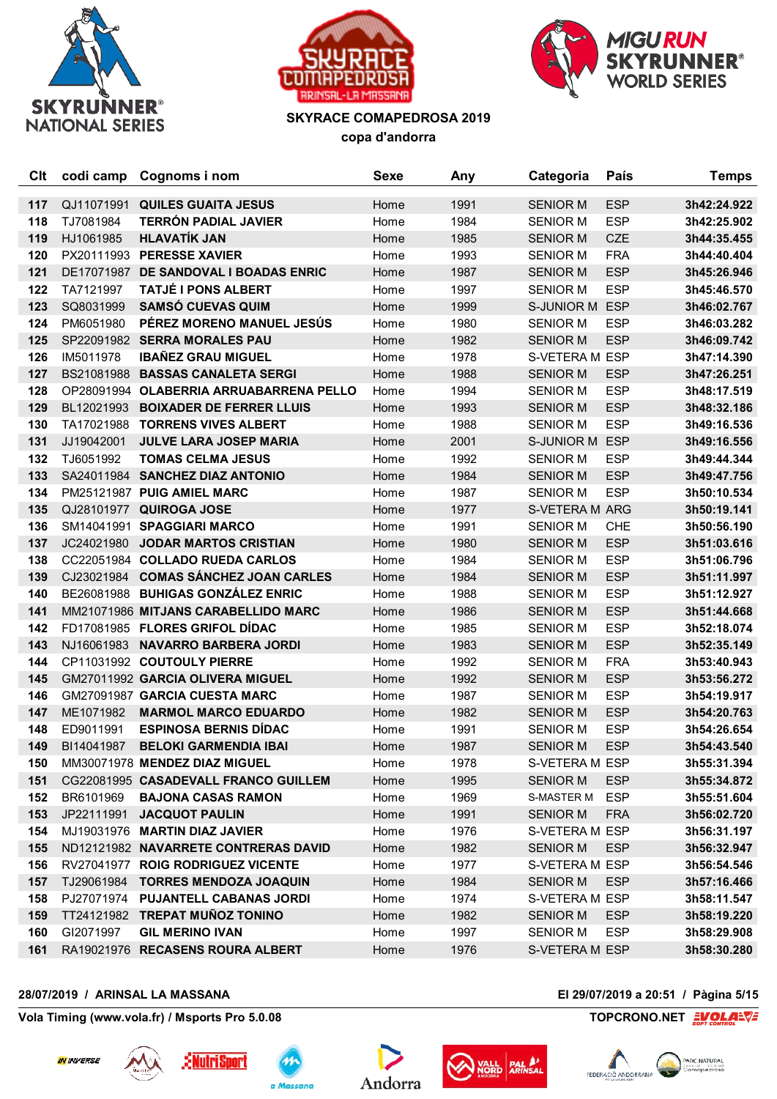





| Clt | codi camp  | Cognoms i nom                           | <b>Sexe</b> | Any  | Categoria       | País       | <b>Temps</b> |
|-----|------------|-----------------------------------------|-------------|------|-----------------|------------|--------------|
| 117 | QJ11071991 | <b>QUILES GUAITA JESUS</b>              | Home        | 1991 | <b>SENIOR M</b> | <b>ESP</b> | 3h42:24.922  |
| 118 | TJ7081984  | <b>TERRÓN PADIAL JAVIER</b>             | Home        | 1984 | <b>SENIOR M</b> | <b>ESP</b> | 3h42:25.902  |
| 119 | HJ1061985  | <b>HLAVATÍK JAN</b>                     | Home        | 1985 | <b>SENIOR M</b> | <b>CZE</b> | 3h44:35.455  |
| 120 |            | PX20111993 PERESSE XAVIER               | Home        | 1993 | <b>SENIOR M</b> | <b>FRA</b> | 3h44:40.404  |
| 121 |            | DE17071987 DE SANDOVAL I BOADAS ENRIC   | Home        | 1987 | <b>SENIOR M</b> | <b>ESP</b> | 3h45:26.946  |
| 122 | TA7121997  | <b>TATJÉ I PONS ALBERT</b>              | Home        | 1997 | <b>SENIOR M</b> | <b>ESP</b> | 3h45:46.570  |
| 123 | SQ8031999  | <b>SAMSÓ CUEVAS QUIM</b>                | Home        | 1999 | S-JUNIOR M ESP  |            | 3h46:02.767  |
| 124 | PM6051980  | PÉREZ MORENO MANUEL JESÚS               | Home        | 1980 | <b>SENIOR M</b> | <b>ESP</b> | 3h46:03.282  |
| 125 |            | SP22091982 SERRA MORALES PAU            | Home        | 1982 | <b>SENIOR M</b> | <b>ESP</b> | 3h46:09.742  |
| 126 | IM5011978  | <b>IBAÑEZ GRAU MIGUEL</b>               | Home        | 1978 | S-VETERA M ESP  |            | 3h47:14.390  |
| 127 | BS21081988 | <b>BASSAS CANALETA SERGI</b>            | Home        | 1988 | <b>SENIOR M</b> | <b>ESP</b> | 3h47:26.251  |
| 128 |            | OP28091994 OLABERRIA ARRUABARRENA PELLO | Home        | 1994 | <b>SENIOR M</b> | <b>ESP</b> | 3h48:17.519  |
| 129 | BL12021993 | <b>BOIXADER DE FERRER LLUIS</b>         | Home        | 1993 | <b>SENIOR M</b> | <b>ESP</b> | 3h48:32.186  |
| 130 | TA17021988 | <b>TORRENS VIVES ALBERT</b>             | Home        | 1988 | <b>SENIOR M</b> | <b>ESP</b> | 3h49:16.536  |
| 131 | JJ19042001 | <b>JULVE LARA JOSEP MARIA</b>           | Home        | 2001 | S-JUNIOR M ESP  |            | 3h49:16.556  |
| 132 | TJ6051992  | <b>TOMAS CELMA JESUS</b>                | Home        | 1992 | <b>SENIOR M</b> | <b>ESP</b> | 3h49:44.344  |
| 133 |            | SA24011984 SANCHEZ DIAZ ANTONIO         | Home        | 1984 | <b>SENIOR M</b> | <b>ESP</b> | 3h49:47.756  |
| 134 |            | PM25121987 PUIG AMIEL MARC              | Home        | 1987 | <b>SENIOR M</b> | <b>ESP</b> | 3h50:10.534  |
| 135 |            | QJ28101977 QUIROGA JOSE                 | Home        | 1977 | S-VETERA M ARG  |            | 3h50:19.141  |
| 136 |            | SM14041991 SPAGGIARI MARCO              | Home        | 1991 | <b>SENIOR M</b> | CHE        | 3h50:56.190  |
| 137 | JC24021980 | <b>JODAR MARTOS CRISTIAN</b>            | Home        | 1980 | <b>SENIOR M</b> | <b>ESP</b> | 3h51:03.616  |
| 138 |            | CC22051984 COLLADO RUEDA CARLOS         | Home        | 1984 | <b>SENIOR M</b> | <b>ESP</b> | 3h51:06.796  |
| 139 | CJ23021984 | <b>COMAS SÁNCHEZ JOAN CARLES</b>        | Home        | 1984 | <b>SENIOR M</b> | <b>ESP</b> | 3h51:11.997  |
| 140 |            | BE26081988 BUHIGAS GONZÁLEZ ENRIC       | Home        | 1988 | <b>SENIOR M</b> | <b>ESP</b> | 3h51:12.927  |
| 141 |            | MM21071986 MITJANS CARABELLIDO MARC     | Home        | 1986 | <b>SENIOR M</b> | <b>ESP</b> | 3h51:44.668  |
| 142 |            | FD17081985 FLORES GRIFOL DÍDAC          | Home        | 1985 | <b>SENIOR M</b> | <b>ESP</b> | 3h52:18.074  |
| 143 | NJ16061983 | <b>NAVARRO BARBERA JORDI</b>            | Home        | 1983 | <b>SENIOR M</b> | <b>ESP</b> | 3h52:35.149  |
| 144 |            | CP11031992 COUTOULY PIERRE              | Home        | 1992 | <b>SENIOR M</b> | <b>FRA</b> | 3h53:40.943  |
| 145 |            | GM27011992 GARCIA OLIVERA MIGUEL        | Home        | 1992 | <b>SENIOR M</b> | <b>ESP</b> | 3h53:56.272  |
| 146 |            | GM27091987 GARCIA CUESTA MARC           | Home        | 1987 | <b>SENIOR M</b> | <b>ESP</b> | 3h54:19.917  |
| 147 | ME1071982  | <b>MARMOL MARCO EDUARDO</b>             | Home        | 1982 | <b>SENIOR M</b> | <b>ESP</b> | 3h54:20.763  |
| 148 | ED9011991  | <b>ESPINOSA BERNIS DÍDAC</b>            | Home        | 1991 | <b>SENIOR M</b> | <b>ESP</b> | 3h54:26.654  |
| 149 | BI14041987 | <b>BELOKI GARMENDIA IBAI</b>            | Home        | 1987 | <b>SENIOR M</b> | <b>ESP</b> | 3h54:43.540  |
| 150 |            | MM30071978 MENDEZ DIAZ MIGUEL           | Home        | 1978 | S-VETERA M ESP  |            | 3h55:31.394  |
| 151 |            | CG22081995 CASADEVALL FRANCO GUILLEM    | Home        | 1995 | <b>SENIOR M</b> | <b>ESP</b> | 3h55:34.872  |
| 152 | BR6101969  | <b>BAJONA CASAS RAMON</b>               | Home        | 1969 | S-MASTER M      | <b>ESP</b> | 3h55:51.604  |
| 153 |            | JP22111991 JACQUOT PAULIN               | Home        | 1991 | <b>SENIOR M</b> | <b>FRA</b> | 3h56:02.720  |
| 154 |            | MJ19031976 MARTIN DIAZ JAVIER           | Home        | 1976 | S-VETERA M ESP  |            | 3h56:31.197  |
| 155 |            | ND12121982 NAVARRETE CONTRERAS DAVID    | Home        | 1982 | <b>SENIOR M</b> | <b>ESP</b> | 3h56:32.947  |
| 156 |            | RV27041977 ROIG RODRIGUEZ VICENTE       | Home        | 1977 | S-VETERA M ESP  |            | 3h56:54.546  |
| 157 | TJ29061984 | <b>TORRES MENDOZA JOAQUIN</b>           | Home        | 1984 | <b>SENIOR M</b> | <b>ESP</b> | 3h57:16.466  |
| 158 |            | PJ27071974 PUJANTELL CABANAS JORDI      | Home        | 1974 | S-VETERA M ESP  |            | 3h58:11.547  |
| 159 |            | TT24121982 TREPAT MUÑOZ TONINO          | Home        | 1982 | <b>SENIOR M</b> | <b>ESP</b> | 3h58:19.220  |
| 160 | GI2071997  | <b>GIL MERINO IVAN</b>                  | Home        | 1997 | <b>SENIOR M</b> | <b>ESP</b> | 3h58:29.908  |
| 161 |            | RA19021976 RECASENS ROURA ALBERT        | Home        | 1976 | S-VETERA M ESP  |            | 3h58:30.280  |

## **28/07/2019 / ARINSAL LA MASSANA El 29/07/2019 a 20:51 / Pàgina 5/15**











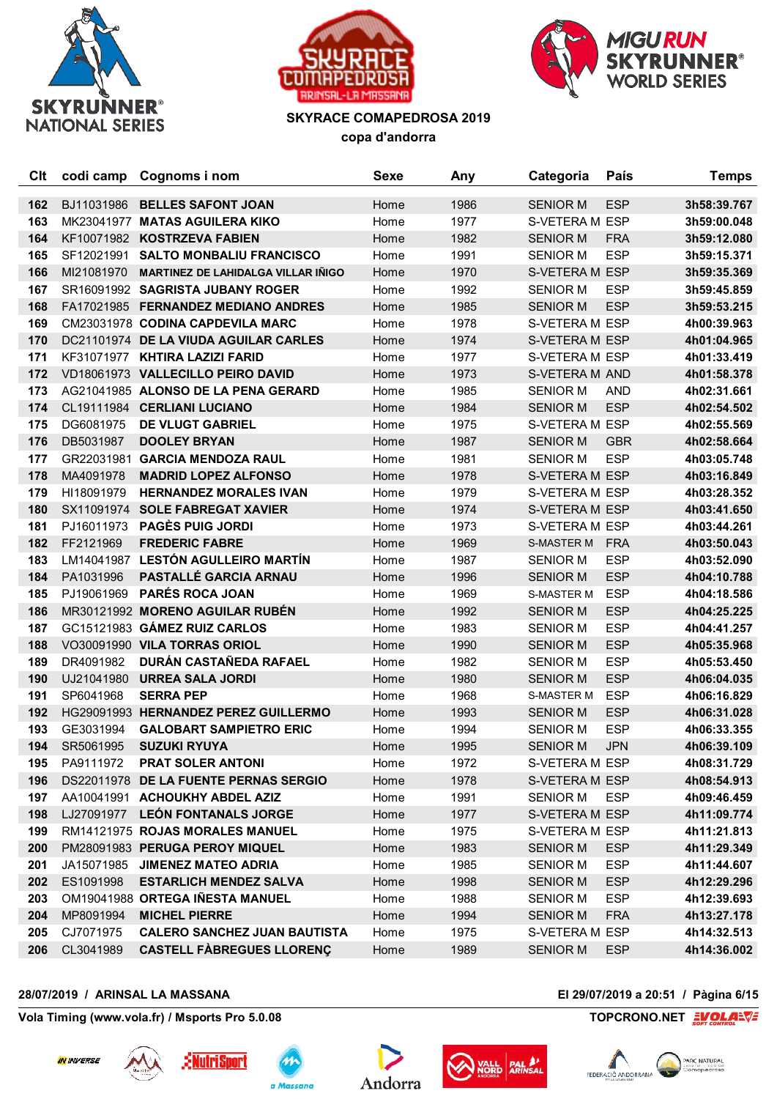





| Clt | codi camp  | Cognoms i nom                             | <b>Sexe</b> | Any  | Categoria         | País       | <b>Temps</b> |
|-----|------------|-------------------------------------------|-------------|------|-------------------|------------|--------------|
| 162 | BJ11031986 | <b>BELLES SAFONT JOAN</b>                 | Home        | 1986 | <b>SENIOR M</b>   | <b>ESP</b> | 3h58:39.767  |
| 163 |            | MK23041977 MATAS AGUILERA KIKO            | Home        | 1977 | S-VETERA M ESP    |            | 3h59:00.048  |
| 164 |            | KF10071982 KOSTRZEVA FABIEN               | Home        | 1982 | <b>SENIOR M</b>   | <b>FRA</b> | 3h59:12.080  |
| 165 | SF12021991 | <b>SALTO MONBALIU FRANCISCO</b>           | Home        | 1991 | <b>SENIOR M</b>   | <b>ESP</b> | 3h59:15.371  |
| 166 | MI21081970 | <b>MARTINEZ DE LAHIDALGA VILLAR IÑIGO</b> | Home        | 1970 | S-VETERA M ESP    |            | 3h59:35.369  |
| 167 |            | SR16091992 SAGRISTA JUBANY ROGER          | Home        | 1992 | <b>SENIOR M</b>   | <b>ESP</b> | 3h59:45.859  |
| 168 |            | FA17021985 FERNANDEZ MEDIANO ANDRES       | Home        | 1985 | <b>SENIOR M</b>   | <b>ESP</b> | 3h59:53.215  |
| 169 |            | CM23031978 CODINA CAPDEVILA MARC          | Home        | 1978 | S-VETERA M ESP    |            | 4h00:39.963  |
| 170 |            | DC21101974 DE LA VIUDA AGUILAR CARLES     | Home        | 1974 | S-VETERA M ESP    |            | 4h01:04.965  |
| 171 |            | KF31071977 KHTIRA LAZIZI FARID            | Home        | 1977 | S-VETERA M ESP    |            | 4h01:33.419  |
| 172 |            | VD18061973 VALLECILLO PEIRO DAVID         | Home        | 1973 | S-VETERA M AND    |            | 4h01:58.378  |
| 173 |            | AG21041985 ALONSO DE LA PENA GERARD       | Home        | 1985 | <b>SENIOR M</b>   | <b>AND</b> | 4h02:31.661  |
| 174 |            | CL19111984 CERLIANI LUCIANO               | Home        | 1984 | <b>SENIOR M</b>   | <b>ESP</b> | 4h02:54.502  |
| 175 | DG6081975  | <b>DE VLUGT GABRIEL</b>                   | Home        | 1975 | S-VETERA M ESP    |            | 4h02:55.569  |
| 176 | DB5031987  | <b>DOOLEY BRYAN</b>                       | Home        | 1987 | <b>SENIOR M</b>   | <b>GBR</b> | 4h02:58.664  |
| 177 |            | GR22031981 GARCIA MENDOZA RAUL            | Home        | 1981 | <b>SENIOR M</b>   | <b>ESP</b> | 4h03:05.748  |
| 178 | MA4091978  | <b>MADRID LOPEZ ALFONSO</b>               | Home        | 1978 | S-VETERA M ESP    |            | 4h03:16.849  |
| 179 | HI18091979 | <b>HERNANDEZ MORALES IVAN</b>             | Home        | 1979 | S-VETERA M ESP    |            | 4h03:28.352  |
| 180 |            | SX11091974 SOLE FABREGAT XAVIER           | Home        | 1974 | S-VETERA M ESP    |            | 4h03:41.650  |
| 181 |            | PJ16011973 PAGES PUIG JORDI               | Home        | 1973 | S-VETERA M ESP    |            | 4h03:44.261  |
| 182 | FF2121969  | <b>FREDERIC FABRE</b>                     | Home        | 1969 | S-MASTER M        | <b>FRA</b> | 4h03:50.043  |
| 183 |            | LM14041987 LESTÓN AGULLEIRO MARTÍN        | Home        | 1987 | <b>SENIOR M</b>   | <b>ESP</b> | 4h03:52.090  |
| 184 | PA1031996  | PASTALLÉ GARCIA ARNAU                     | Home        | 1996 | <b>SENIOR M</b>   | <b>ESP</b> | 4h04:10.788  |
| 185 | PJ19061969 | <b>PARÉS ROCA JOAN</b>                    | Home        | 1969 | <b>S-MASTER M</b> | <b>ESP</b> | 4h04:18.586  |
| 186 |            | MR30121992 MORENO AGUILAR RUBÉN           | Home        | 1992 | <b>SENIOR M</b>   | <b>ESP</b> | 4h04:25.225  |
| 187 |            | GC15121983 GÁMEZ RUIZ CARLOS              | Home        | 1983 | <b>SENIOR M</b>   | <b>ESP</b> | 4h04:41.257  |
| 188 |            | VO30091990 VILA TORRAS ORIOL              | Home        | 1990 | <b>SENIOR M</b>   | <b>ESP</b> | 4h05:35.968  |
| 189 | DR4091982  | DURÁN CASTAÑEDA RAFAEL                    | Home        | 1982 | <b>SENIOR M</b>   | <b>ESP</b> | 4h05:53.450  |
| 190 | UJ21041980 | <b>URREA SALA JORDI</b>                   | Home        | 1980 | <b>SENIOR M</b>   | <b>ESP</b> | 4h06:04.035  |
| 191 | SP6041968  | <b>SERRA PEP</b>                          | Home        | 1968 | <b>S-MASTER M</b> | <b>ESP</b> | 4h06:16.829  |
| 192 |            | HG29091993 HERNANDEZ PEREZ GUILLERMO      | Home        | 1993 | <b>SENIOR M</b>   | <b>ESP</b> | 4h06:31.028  |
| 193 | GE3031994  | <b>GALOBART SAMPIETRO ERIC</b>            | Home        | 1994 | <b>SENIOR M</b>   | <b>ESP</b> | 4h06:33.355  |
| 194 | SR5061995  | <b>SUZUKI RYUYA</b>                       | Home        | 1995 | <b>SENIOR M</b>   | <b>JPN</b> | 4h06:39.109  |
| 195 | PA9111972  | <b>PRAT SOLER ANTONI</b>                  | Home        | 1972 | S-VETERA M ESP    |            | 4h08:31.729  |
| 196 |            | DS22011978 DE LA FUENTE PERNAS SERGIO     | Home        | 1978 | S-VETERA M ESP    |            | 4h08:54.913  |
| 197 |            | AA10041991 ACHOUKHY ABDEL AZIZ            | Home        | 1991 | <b>SENIOR M</b>   | <b>ESP</b> | 4h09:46.459  |
| 198 |            | LJ27091977 LEÓN FONTANALS JORGE           | Home        | 1977 | S-VETERA M ESP    |            | 4h11:09.774  |
| 199 |            | RM14121975 ROJAS MORALES MANUEL           | Home        | 1975 | S-VETERA M ESP    |            | 4h11:21.813  |
| 200 |            | PM28091983 PERUGA PEROY MIQUEL            | Home        | 1983 | <b>SENIOR M</b>   | <b>ESP</b> | 4h11:29.349  |
| 201 |            | JA15071985 JIMENEZ MATEO ADRIA            | Home        | 1985 | <b>SENIOR M</b>   | <b>ESP</b> | 4h11:44.607  |
| 202 | ES1091998  | <b>ESTARLICH MENDEZ SALVA</b>             | Home        | 1998 | <b>SENIOR M</b>   | <b>ESP</b> | 4h12:29.296  |
| 203 |            | OM19041988 ORTEGA IÑESTA MANUEL           | Home        | 1988 | <b>SENIOR M</b>   | <b>ESP</b> | 4h12:39.693  |
| 204 | MP8091994  | <b>MICHEL PIERRE</b>                      | Home        | 1994 | <b>SENIOR M</b>   | <b>FRA</b> | 4h13:27.178  |
| 205 | CJ7071975  | <b>CALERO SANCHEZ JUAN BAUTISTA</b>       | Home        | 1975 | S-VETERA M ESP    |            | 4h14:32.513  |
| 206 | CL3041989  | <b>CASTELL FABREGUES LLORENÇ</b>          | Home        | 1989 | <b>SENIOR M</b>   | <b>ESP</b> | 4h14:36.002  |

## **28/07/2019 / ARINSAL LA MASSANA El 29/07/2019 a 20:51 / Pàgina 6/15**











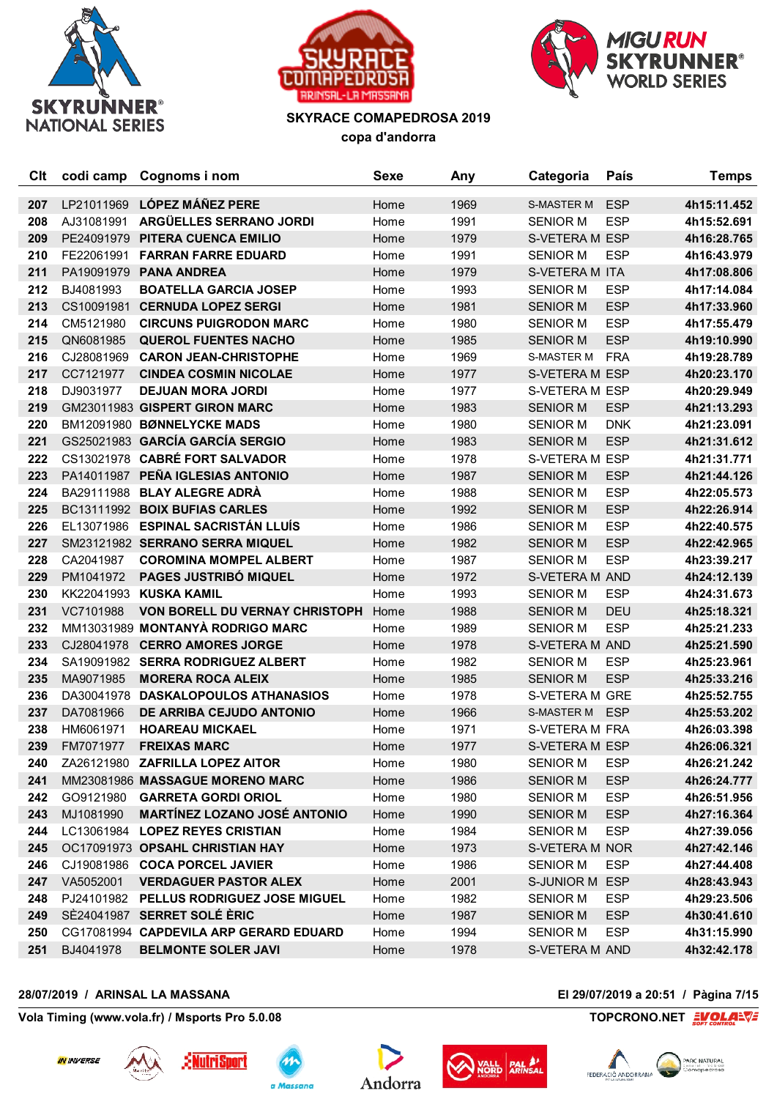





| Clt | codi camp  | Cognoms i nom                          | <b>Sexe</b> | Any  | Categoria             | País       | <b>Temps</b> |
|-----|------------|----------------------------------------|-------------|------|-----------------------|------------|--------------|
| 207 | LP21011969 | <b>LÓPEZ MÁÑEZ PERE</b>                | Home        | 1969 | <b>S-MASTER M</b>     | <b>ESP</b> | 4h15:11.452  |
| 208 | AJ31081991 | ARGÜELLES SERRANO JORDI                | Home        | 1991 | <b>SENIOR M</b>       | <b>ESP</b> | 4h15:52.691  |
| 209 | PE24091979 | PITERA CUENCA EMILIO                   | Home        | 1979 | S-VETERA M ESP        |            | 4h16:28.765  |
| 210 | FE22061991 | <b>FARRAN FARRE EDUARD</b>             | Home        | 1991 | <b>SENIOR M</b>       | <b>ESP</b> | 4h16:43.979  |
| 211 |            | PA19091979 PANA ANDREA                 | Home        | 1979 | S-VETERA M ITA        |            | 4h17:08.806  |
| 212 | BJ4081993  | <b>BOATELLA GARCIA JOSEP</b>           | Home        | 1993 | <b>SENIOR M</b>       | <b>ESP</b> | 4h17:14.084  |
| 213 |            | CS10091981 CERNUDA LOPEZ SERGI         | Home        | 1981 | <b>SENIOR M</b>       | <b>ESP</b> | 4h17:33.960  |
| 214 | CM5121980  | <b>CIRCUNS PUIGRODON MARC</b>          | Home        | 1980 | <b>SENIOR M</b>       | <b>ESP</b> | 4h17:55.479  |
| 215 | QN6081985  | <b>QUEROL FUENTES NACHO</b>            | Home        | 1985 | <b>SENIOR M</b>       | <b>ESP</b> | 4h19:10.990  |
| 216 | CJ28081969 | <b>CARON JEAN-CHRISTOPHE</b>           | Home        | 1969 | <b>S-MASTER M</b>     | <b>FRA</b> | 4h19:28.789  |
| 217 | CC7121977  | <b>CINDEA COSMIN NICOLAE</b>           | Home        | 1977 | S-VETERA M ESP        |            | 4h20:23.170  |
| 218 | DJ9031977  | <b>DEJUAN MORA JORDI</b>               | Home        | 1977 | S-VETERA M ESP        |            | 4h20:29.949  |
| 219 |            | GM23011983 GISPERT GIRON MARC          | Home        | 1983 | <b>SENIOR M</b>       | <b>ESP</b> | 4h21:13.293  |
| 220 |            | BM12091980 BØNNELYCKE MADS             | Home        | 1980 | <b>SENIOR M</b>       | <b>DNK</b> | 4h21:23.091  |
| 221 |            | GS25021983 GARCÍA GARCÍA SERGIO        | Home        | 1983 | <b>SENIOR M</b>       | <b>ESP</b> | 4h21:31.612  |
| 222 |            | CS13021978 CABRÉ FORT SALVADOR         | Home        | 1978 | S-VETERA M ESP        |            | 4h21:31.771  |
| 223 |            | PA14011987 PEÑA IGLESIAS ANTONIO       | Home        | 1987 | <b>SENIOR M</b>       | <b>ESP</b> | 4h21:44.126  |
| 224 |            | BA29111988 BLAY ALEGRE ADRÀ            | Home        | 1988 | <b>SENIOR M</b>       | <b>ESP</b> | 4h22:05.573  |
| 225 |            | BC13111992 BOIX BUFIAS CARLES          | Home        | 1992 | <b>SENIOR M</b>       | <b>ESP</b> | 4h22:26.914  |
| 226 |            | EL13071986 ESPINAL SACRISTÁN LLUÍS     | Home        | 1986 | <b>SENIOR M</b>       | <b>ESP</b> | 4h22:40.575  |
| 227 |            | SM23121982 SERRANO SERRA MIQUEL        | Home        | 1982 | <b>SENIOR M</b>       | <b>ESP</b> | 4h22:42.965  |
| 228 | CA2041987  | <b>COROMINA MOMPEL ALBERT</b>          | Home        | 1987 | <b>SENIOR M</b>       | <b>ESP</b> | 4h23:39.217  |
| 229 | PM1041972  | PAGES JUSTRIBÓ MIQUEL                  | Home        | 1972 | S-VETERA M AND        |            | 4h24:12.139  |
| 230 |            | KK22041993 KUSKA KAMIL                 | Home        | 1993 | <b>SENIOR M</b>       | <b>ESP</b> | 4h24:31.673  |
| 231 | VC7101988  | <b>VON BORELL DU VERNAY CHRISTOPH</b>  | Home        | 1988 | <b>SENIOR M</b>       | DEU        | 4h25:18.321  |
| 232 |            | MM13031989 MONTANYÀ RODRIGO MARC       | Home        | 1989 | <b>SENIOR M</b>       | <b>ESP</b> | 4h25:21.233  |
| 233 |            | CJ28041978 CERRO AMORES JORGE          | Home        | 1978 | S-VETERA M AND        |            | 4h25:21.590  |
| 234 |            | SA19091982 SERRA RODRIGUEZ ALBERT      | Home        | 1982 | <b>SENIOR M</b>       | <b>ESP</b> | 4h25:23.961  |
| 235 | MA9071985  | <b>MORERA ROCA ALEIX</b>               | Home        | 1985 | <b>SENIOR M</b>       | <b>ESP</b> | 4h25:33.216  |
| 236 |            | DA30041978 DASKALOPOULOS ATHANASIOS    | Home        | 1978 | S-VETERA M GRE        |            | 4h25:52.755  |
| 237 | DA7081966  | DE ARRIBA CEJUDO ANTONIO               | Home        | 1966 | S-MASTER M            | <b>ESP</b> | 4h25:53.202  |
| 238 | HM6061971  | <b>HOAREAU MICKAEL</b>                 | Home        | 1971 | <b>S-VETERA M FRA</b> |            | 4h26:03.398  |
| 239 | FM7071977  | <b>FREIXAS MARC</b>                    | Home        | 1977 | S-VETERA M ESP        |            | 4h26:06.321  |
| 240 |            | ZA26121980 ZAFRILLA LOPEZ AITOR        | Home        | 1980 | <b>SENIOR M</b>       | <b>ESP</b> | 4h26:21.242  |
| 241 |            | MM23081986 MASSAGUE MORENO MARC        | Home        | 1986 | <b>SENIOR M</b>       | <b>ESP</b> | 4h26:24.777  |
| 242 | GO9121980  | <b>GARRETA GORDI ORIOL</b>             | Home        | 1980 | <b>SENIOR M</b>       | <b>ESP</b> | 4h26:51.956  |
| 243 | MJ1081990  | <b>MARTÍNEZ LOZANO JOSÉ ANTONIO</b>    | Home        | 1990 | <b>SENIOR M</b>       | <b>ESP</b> | 4h27:16.364  |
| 244 |            | LC13061984 LOPEZ REYES CRISTIAN        | Home        | 1984 | <b>SENIOR M</b>       | <b>ESP</b> | 4h27:39.056  |
| 245 |            | OC17091973 OPSAHL CHRISTIAN HAY        | Home        | 1973 | S-VETERA M NOR        |            | 4h27:42.146  |
| 246 |            | CJ19081986 COCA PORCEL JAVIER          | Home        | 1986 | <b>SENIOR M</b>       | <b>ESP</b> | 4h27:44.408  |
| 247 | VA5052001  | <b>VERDAGUER PASTOR ALEX</b>           | Home        | 2001 | S-JUNIOR M ESP        |            | 4h28:43.943  |
| 248 | PJ24101982 | PELLUS RODRIGUEZ JOSE MIGUEL           | Home        | 1982 | <b>SENIOR M</b>       | <b>ESP</b> | 4h29:23.506  |
| 249 |            | SÈ24041987 SERRET SOLÉ ÈRIC            | Home        | 1987 | <b>SENIOR M</b>       | <b>ESP</b> | 4h30:41.610  |
| 250 |            | CG17081994 CAPDEVILA ARP GERARD EDUARD | Home        | 1994 | <b>SENIOR M</b>       | <b>ESP</b> | 4h31:15.990  |
| 251 | BJ4041978  | <b>BELMONTE SOLER JAVI</b>             | Home        | 1978 | S-VETERA M AND        |            | 4h32:42.178  |

## **28/07/2019 / ARINSAL LA MASSANA El 29/07/2019 a 20:51 / Pàgina 7/15**











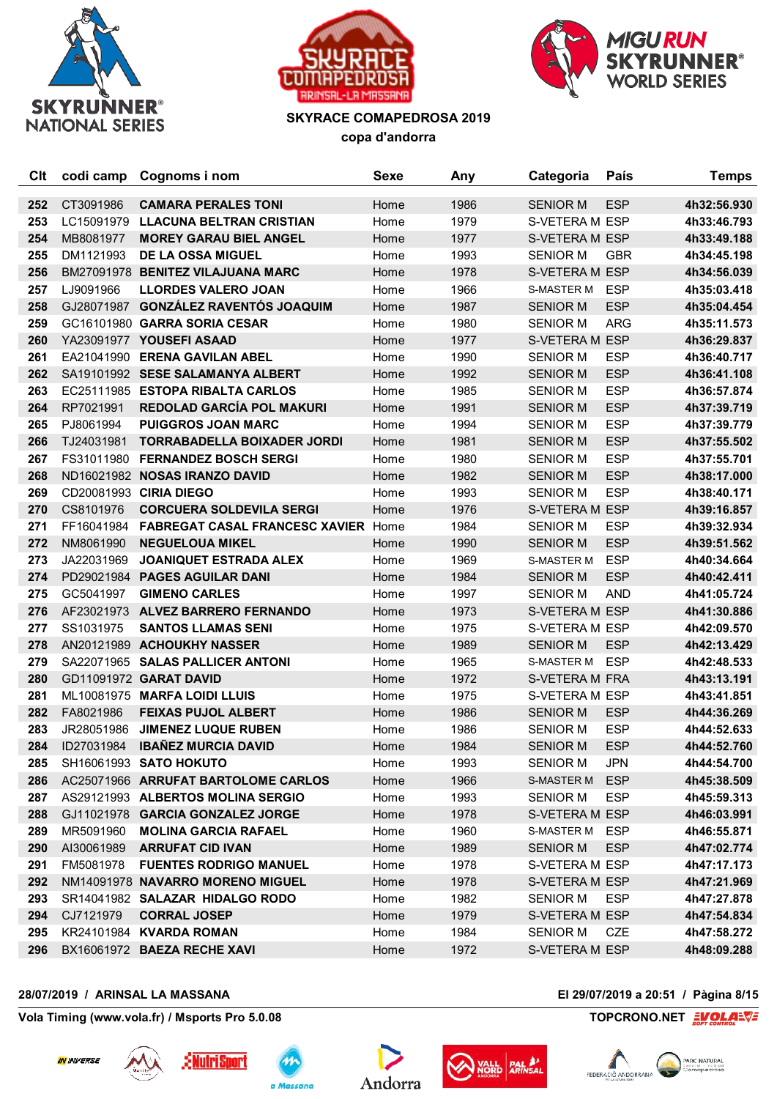





| Clt | codi camp  | Cognoms i nom                             | <b>Sexe</b> | Any  | Categoria         | País       | <b>Temps</b> |
|-----|------------|-------------------------------------------|-------------|------|-------------------|------------|--------------|
| 252 | CT3091986  | <b>CAMARA PERALES TONI</b>                | Home        | 1986 | <b>SENIOR M</b>   | <b>ESP</b> | 4h32:56.930  |
| 253 | LC15091979 | <b>LLACUNA BELTRAN CRISTIAN</b>           | Home        | 1979 | S-VETERA M ESP    |            | 4h33:46.793  |
| 254 | MB8081977  | <b>MOREY GARAU BIEL ANGEL</b>             | Home        | 1977 | S-VETERA M ESP    |            | 4h33:49.188  |
| 255 | DM1121993  | DE LA OSSA MIGUEL                         | Home        | 1993 | <b>SENIOR M</b>   | <b>GBR</b> | 4h34:45.198  |
| 256 |            | BM27091978 BENITEZ VILAJUANA MARC         | Home        | 1978 | S-VETERA M ESP    |            | 4h34:56.039  |
| 257 | LJ9091966  | <b>LLORDES VALERO JOAN</b>                | Home        | 1966 | <b>S-MASTER M</b> | <b>ESP</b> | 4h35:03.418  |
| 258 |            | GJ28071987 GONZÁLEZ RAVENTÓS JOAQUIM      | Home        | 1987 | <b>SENIOR M</b>   | <b>ESP</b> | 4h35:04.454  |
| 259 |            | GC16101980 GARRA SORIA CESAR              | Home        | 1980 | <b>SENIOR M</b>   | <b>ARG</b> | 4h35:11.573  |
| 260 |            | YA23091977 YOUSEFI ASAAD                  | Home        | 1977 | S-VETERA M ESP    |            | 4h36:29.837  |
| 261 |            | EA21041990 ERENA GAVILAN ABEL             | Home        | 1990 | <b>SENIOR M</b>   | <b>ESP</b> | 4h36:40.717  |
| 262 |            | SA19101992 SESE SALAMANYA ALBERT          | Home        | 1992 | <b>SENIOR M</b>   | <b>ESP</b> | 4h36:41.108  |
| 263 |            | EC25111985 ESTOPA RIBALTA CARLOS          | Home        | 1985 | <b>SENIOR M</b>   | <b>ESP</b> | 4h36:57.874  |
| 264 | RP7021991  | <b>REDOLAD GARCÍA POL MAKURI</b>          | Home        | 1991 | <b>SENIOR M</b>   | <b>ESP</b> | 4h37:39.719  |
| 265 | PJ8061994  | <b>PUIGGROS JOAN MARC</b>                 | Home        | 1994 | <b>SENIOR M</b>   | <b>ESP</b> | 4h37:39.779  |
| 266 | TJ24031981 | <b>TORRABADELLA BOIXADER JORDI</b>        | Home        | 1981 | <b>SENIOR M</b>   | <b>ESP</b> | 4h37:55.502  |
| 267 |            | FS31011980 FERNANDEZ BOSCH SERGI          | Home        | 1980 | <b>SENIOR M</b>   | <b>ESP</b> | 4h37:55.701  |
| 268 |            | ND16021982 NOSAS IRANZO DAVID             | Home        | 1982 | <b>SENIOR M</b>   | <b>ESP</b> | 4h38:17.000  |
| 269 |            | CD20081993 CIRIA DIEGO                    | Home        | 1993 | <b>SENIOR M</b>   | <b>ESP</b> | 4h38:40.171  |
| 270 | CS8101976  | <b>CORCUERA SOLDEVILA SERGI</b>           | Home        | 1976 | S-VETERA M ESP    |            | 4h39:16.857  |
| 271 |            | FF16041984 FABREGAT CASAL FRANCESC XAVIER | Home        | 1984 | <b>SENIOR M</b>   | <b>ESP</b> | 4h39:32.934  |
| 272 | NM8061990  | <b>NEGUELOUA MIKEL</b>                    | Home        | 1990 | <b>SENIOR M</b>   | <b>ESP</b> | 4h39:51.562  |
| 273 | JA22031969 | <b>JOANIQUET ESTRADA ALEX</b>             | Home        | 1969 | <b>S-MASTER M</b> | <b>ESP</b> | 4h40:34.664  |
| 274 |            | PD29021984 PAGES AGUILAR DANI             | Home        | 1984 | <b>SENIOR M</b>   | <b>ESP</b> | 4h40:42.411  |
| 275 | GC5041997  | <b>GIMENO CARLES</b>                      | Home        | 1997 | <b>SENIOR M</b>   | <b>AND</b> | 4h41:05.724  |
| 276 |            | AF23021973 ALVEZ BARRERO FERNANDO         | Home        | 1973 | S-VETERA M ESP    |            | 4h41:30.886  |
| 277 | SS1031975  | <b>SANTOS LLAMAS SENI</b>                 | Home        | 1975 | S-VETERA M ESP    |            | 4h42:09.570  |
| 278 |            | AN20121989 ACHOUKHY NASSER                | Home        | 1989 | <b>SENIOR M</b>   | <b>ESP</b> | 4h42:13.429  |
| 279 |            | SA22071965 SALAS PALLICER ANTONI          | Home        | 1965 | S-MASTER M ESP    |            | 4h42:48.533  |
| 280 |            | GD11091972 GARAT DAVID                    | Home        | 1972 | S-VETERA M FRA    |            | 4h43:13.191  |
| 281 |            | ML10081975 MARFA LOIDI LLUIS              | Home        | 1975 | S-VETERA M ESP    |            | 4h43:41.851  |
| 282 | FA8021986  | <b>FEIXAS PUJOL ALBERT</b>                | Home        | 1986 | <b>SENIOR M</b>   | <b>ESP</b> | 4h44:36.269  |
| 283 | JR28051986 | <b>JIMENEZ LUQUE RUBEN</b>                | Home        | 1986 | <b>SENIOR M</b>   | <b>ESP</b> | 4h44:52.633  |
| 284 | ID27031984 | <b>IBAÑEZ MURCIA DAVID</b>                | Home        | 1984 | <b>SENIOR M</b>   | <b>ESP</b> | 4h44:52.760  |
| 285 |            | SH16061993 SATO HOKUTO                    | Home        | 1993 | <b>SENIOR M</b>   | <b>JPN</b> | 4h44:54.700  |
| 286 |            | AC25071966 ARRUFAT BARTOLOME CARLOS       | Home        | 1966 | <b>S-MASTER M</b> | <b>ESP</b> | 4h45:38.509  |
| 287 |            | AS29121993 ALBERTOS MOLINA SERGIO         | Home        | 1993 | <b>SENIOR M</b>   | <b>ESP</b> | 4h45:59.313  |
| 288 |            | GJ11021978 GARCIA GONZALEZ JORGE          | Home        | 1978 | S-VETERA M ESP    |            | 4h46:03.991  |
| 289 | MR5091960  | <b>MOLINA GARCIA RAFAEL</b>               | Home        | 1960 | S-MASTER M        | ESP        | 4h46:55.871  |
| 290 |            | AI30061989 ARRUFAT CID IVAN               | Home        | 1989 | <b>SENIOR M</b>   | <b>ESP</b> | 4h47:02.774  |
| 291 | FM5081978  | <b>FUENTES RODRIGO MANUEL</b>             | Home        | 1978 | S-VETERA M ESP    |            | 4h47:17.173  |
| 292 |            | NM14091978 NAVARRO MORENO MIGUEL          | Home        | 1978 | S-VETERA M ESP    |            | 4h47:21.969  |
| 293 |            | SR14041982 SALAZAR HIDALGO RODO           | Home        | 1982 | <b>SENIOR M</b>   | <b>ESP</b> | 4h47:27.878  |
| 294 | CJ7121979  | <b>CORRAL JOSEP</b>                       | Home        | 1979 | S-VETERA M ESP    |            | 4h47:54.834  |
| 295 |            | KR24101984 KVARDA ROMAN                   | Home        | 1984 | <b>SENIOR M</b>   | CZE        | 4h47:58.272  |
| 296 |            | BX16061972 BAEZA RECHE XAVI               | Home        | 1972 | S-VETERA M ESP    |            | 4h48:09.288  |

## **28/07/2019 / ARINSAL LA MASSANA El 29/07/2019 a 20:51 / Pàgina 8/15**











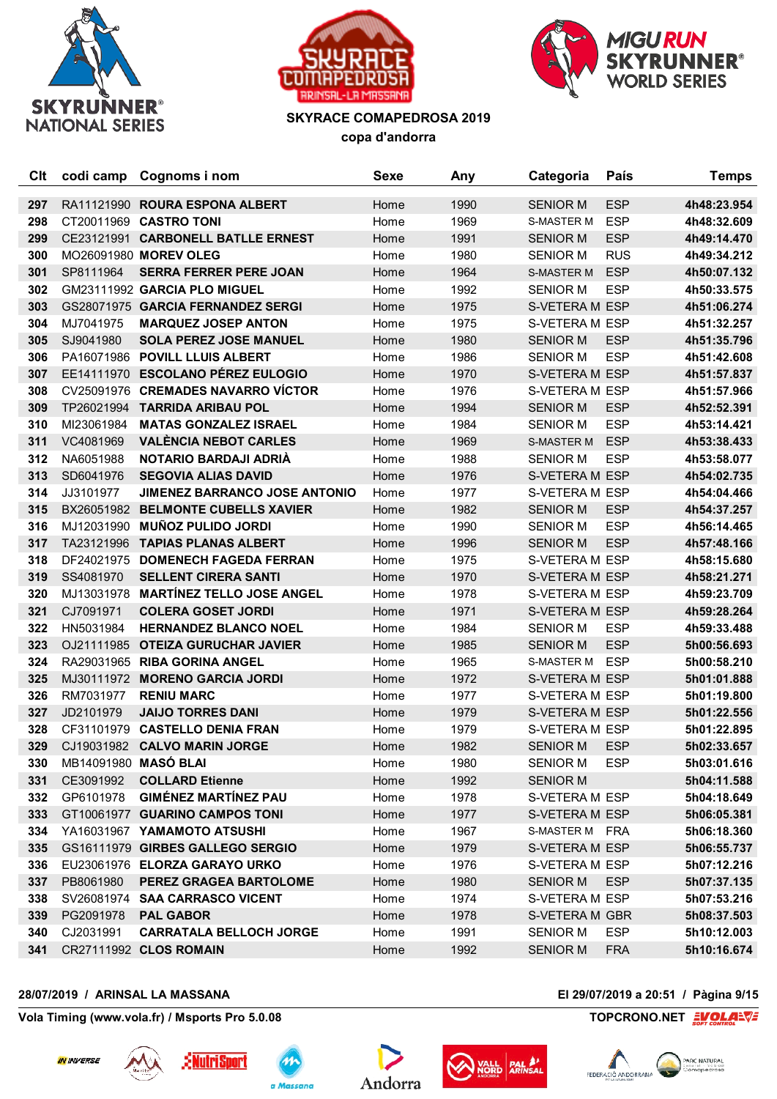





| Clt | codi camp            | Cognoms i nom                        | <b>Sexe</b> | Any  | Categoria         | País       | <b>Temps</b> |
|-----|----------------------|--------------------------------------|-------------|------|-------------------|------------|--------------|
| 297 |                      | RA11121990 ROURA ESPONA ALBERT       | Home        | 1990 | <b>SENIOR M</b>   | <b>ESP</b> | 4h48:23.954  |
| 298 |                      | CT20011969 CASTRO TONI               | Home        | 1969 | <b>S-MASTER M</b> | <b>ESP</b> | 4h48:32.609  |
| 299 |                      | CE23121991 CARBONELL BATLLE ERNEST   | Home        | 1991 | <b>SENIOR M</b>   | <b>ESP</b> | 4h49:14.470  |
| 300 |                      | MO26091980 MOREV OLEG                | Home        | 1980 | <b>SENIOR M</b>   | <b>RUS</b> | 4h49:34.212  |
| 301 | SP8111964            | <b>SERRA FERRER PERE JOAN</b>        | Home        | 1964 | S-MASTER M        | <b>ESP</b> | 4h50:07.132  |
| 302 |                      | GM23111992 GARCIA PLO MIGUEL         | Home        | 1992 | <b>SENIOR M</b>   | <b>ESP</b> | 4h50:33.575  |
| 303 |                      | GS28071975 GARCIA FERNANDEZ SERGI    | Home        | 1975 | S-VETERA M ESP    |            | 4h51:06.274  |
| 304 | MJ7041975            | <b>MARQUEZ JOSEP ANTON</b>           | Home        | 1975 | S-VETERA M ESP    |            | 4h51:32.257  |
| 305 | SJ9041980            | <b>SOLA PEREZ JOSE MANUEL</b>        | Home        | 1980 | <b>SENIOR M</b>   | <b>ESP</b> | 4h51:35.796  |
| 306 | PA16071986           | <b>POVILL LLUIS ALBERT</b>           | Home        | 1986 | <b>SENIOR M</b>   | <b>ESP</b> | 4h51:42.608  |
| 307 |                      | EE14111970 ESCOLANO PÉREZ EULOGIO    | Home        | 1970 | S-VETERA M ESP    |            | 4h51:57.837  |
| 308 |                      | CV25091976 CREMADES NAVARRO VÍCTOR   | Home        | 1976 | S-VETERA M ESP    |            | 4h51:57.966  |
| 309 |                      | TP26021994 TARRIDA ARIBAU POL        | Home        | 1994 | <b>SENIOR M</b>   | <b>ESP</b> | 4h52:52.391  |
| 310 | MI23061984           | <b>MATAS GONZALEZ ISRAEL</b>         | Home        | 1984 | <b>SENIOR M</b>   | <b>ESP</b> | 4h53:14.421  |
| 311 | VC4081969            | <b>VALÈNCIA NEBOT CARLES</b>         | Home        | 1969 | S-MASTER M        | <b>ESP</b> | 4h53:38.433  |
| 312 | NA6051988            | <b>NOTARIO BARDAJI ADRIA</b>         | Home        | 1988 | <b>SENIOR M</b>   | <b>ESP</b> | 4h53:58.077  |
| 313 | SD6041976            | <b>SEGOVIA ALIAS DAVID</b>           | Home        | 1976 | S-VETERA M ESP    |            | 4h54:02.735  |
| 314 | JJ3101977            | <b>JIMENEZ BARRANCO JOSE ANTONIO</b> | Home        | 1977 | S-VETERA M ESP    |            | 4h54:04.466  |
| 315 |                      | BX26051982 BELMONTE CUBELLS XAVIER   | Home        | 1982 | <b>SENIOR M</b>   | <b>ESP</b> | 4h54:37.257  |
| 316 | MJ12031990           | <b>MUÑOZ PULIDO JORDI</b>            | Home        | 1990 | <b>SENIOR M</b>   | <b>ESP</b> | 4h56:14.465  |
| 317 | TA23121996           | <b>TAPIAS PLANAS ALBERT</b>          | Home        | 1996 | <b>SENIOR M</b>   | <b>ESP</b> | 4h57:48.166  |
| 318 | DF24021975           | <b>DOMENECH FAGEDA FERRAN</b>        | Home        | 1975 | S-VETERA M ESP    |            | 4h58:15.680  |
| 319 | SS4081970            | <b>SELLENT CIRERA SANTI</b>          | Home        | 1970 | S-VETERA M ESP    |            | 4h58:21.271  |
| 320 | MJ13031978           | <b>MARTÍNEZ TELLO JOSE ANGEL</b>     | Home        | 1978 | S-VETERA M ESP    |            | 4h59:23.709  |
| 321 | CJ7091971            | <b>COLERA GOSET JORDI</b>            | Home        | 1971 | S-VETERA M ESP    |            | 4h59:28.264  |
| 322 | HN5031984            | <b>HERNANDEZ BLANCO NOEL</b>         | Home        | 1984 | <b>SENIOR M</b>   | <b>ESP</b> | 4h59:33.488  |
| 323 | OJ21111985           | <b>OTEIZA GURUCHAR JAVIER</b>        | Home        | 1985 | <b>SENIOR M</b>   | <b>ESP</b> | 5h00:56.693  |
| 324 |                      | RA29031965 RIBA GORINA ANGEL         | Home        | 1965 | S-MASTER M        | <b>ESP</b> | 5h00:58.210  |
| 325 |                      | MJ30111972 MORENO GARCIA JORDI       | Home        | 1972 | S-VETERA M ESP    |            | 5h01:01.888  |
| 326 | RM7031977            | <b>RENIU MARC</b>                    | Home        | 1977 | S-VETERA M ESP    |            | 5h01:19.800  |
| 327 | JD2101979            | <b>JAIJO TORRES DANI</b>             | Home        | 1979 | S-VETERA M ESP    |            | 5h01:22.556  |
| 328 |                      | CF31101979 CASTELLO DENIA FRAN       | Home        | 1979 | S-VETERA M ESP    |            | 5h01:22.895  |
| 329 |                      | CJ19031982 CALVO MARIN JORGE         | Home        | 1982 | <b>SENIOR M</b>   | <b>ESP</b> | 5h02:33.657  |
| 330 | MB14091980 MASÓ BLAI |                                      | Home        | 1980 | <b>SENIOR M</b>   | <b>ESP</b> | 5h03:01.616  |
| 331 | CE3091992            | <b>COLLARD Etienne</b>               | Home        | 1992 | <b>SENIOR M</b>   |            | 5h04:11.588  |
| 332 | GP6101978            | <b>GIMÉNEZ MARTÍNEZ PAU</b>          | Home        | 1978 | S-VETERA M ESP    |            | 5h04:18.649  |
| 333 |                      | GT10061977 GUARINO CAMPOS TONI       | Home        | 1977 | S-VETERA M ESP    |            | 5h06:05.381  |
| 334 |                      | YA16031967 YAMAMOTO ATSUSHI          | Home        | 1967 | S-MASTER M FRA    |            | 5h06:18.360  |
| 335 |                      | GS16111979 GIRBES GALLEGO SERGIO     | Home        | 1979 | S-VETERA M ESP    |            | 5h06:55.737  |
| 336 |                      | EU23061976 ELORZA GARAYO URKO        | Home        | 1976 | S-VETERA M ESP    |            | 5h07:12.216  |
| 337 | PB8061980            | PEREZ GRAGEA BARTOLOME               | Home        | 1980 | <b>SENIOR M</b>   | <b>ESP</b> | 5h07:37.135  |
| 338 |                      | SV26081974 SAA CARRASCO VICENT       | Home        | 1974 | S-VETERA M ESP    |            | 5h07:53.216  |
| 339 |                      | PG2091978 <b>PAL GABOR</b>           | Home        | 1978 | S-VETERA M GBR    |            | 5h08:37.503  |
| 340 | CJ2031991            | <b>CARRATALA BELLOCH JORGE</b>       | Home        | 1991 | <b>SENIOR M</b>   | <b>ESP</b> | 5h10:12.003  |
| 341 |                      | CR27111992 CLOS ROMAIN               | Home        | 1992 | <b>SENIOR M</b>   | <b>FRA</b> | 5h10:16.674  |

## **28/07/2019 / ARINSAL LA MASSANA El 29/07/2019 a 20:51 / Pàgina 9/15**











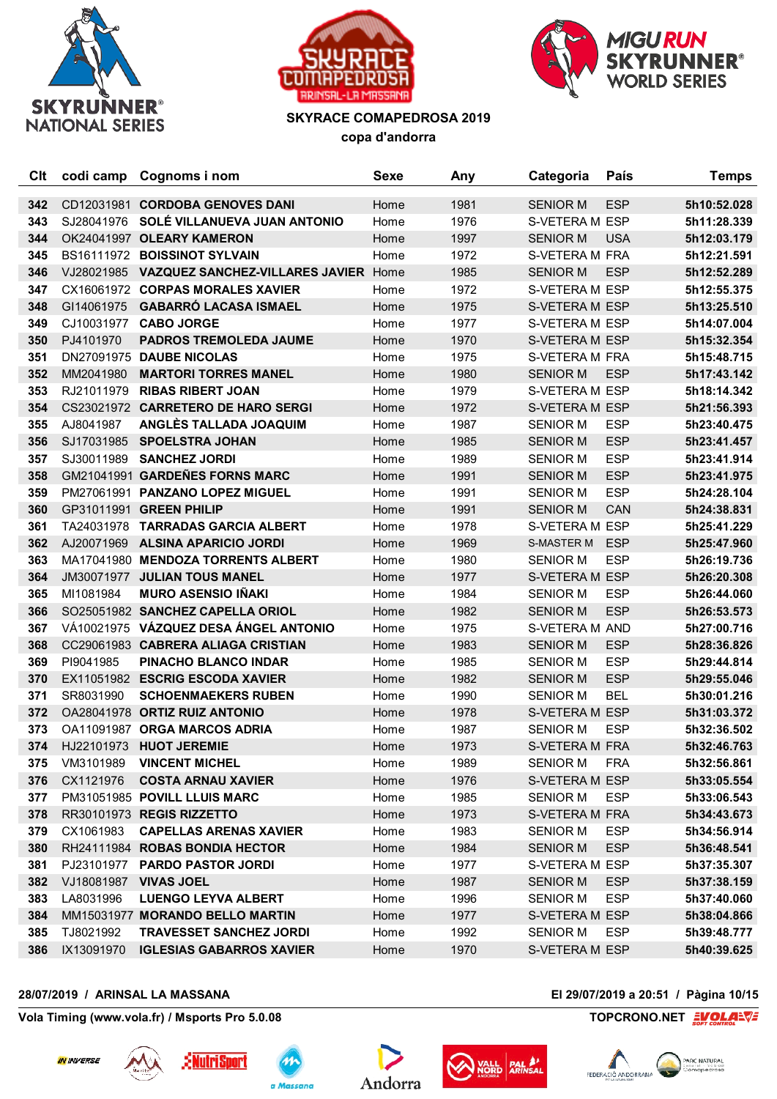





| Clt | codi camp  | Cognoms i nom                                   | <b>Sexe</b> | Any  | Categoria       | País       | <b>Temps</b> |
|-----|------------|-------------------------------------------------|-------------|------|-----------------|------------|--------------|
| 342 |            | CD12031981 CORDOBA GENOVES DANI                 | Home        | 1981 | <b>SENIOR M</b> | <b>ESP</b> | 5h10:52.028  |
| 343 | SJ28041976 | SOLÉ VILLANUEVA JUAN ANTONIO                    | Home        | 1976 | S-VETERA M ESP  |            | 5h11:28.339  |
| 344 |            | OK24041997 OLEARY KAMERON                       | Home        | 1997 | <b>SENIOR M</b> | <b>USA</b> | 5h12:03.179  |
| 345 |            | BS16111972 BOISSINOT SYLVAIN                    | Home        | 1972 | S-VETERA M FRA  |            | 5h12:21.591  |
| 346 |            | VJ28021985 VAZQUEZ SANCHEZ-VILLARES JAVIER Home |             | 1985 | <b>SENIOR M</b> | <b>ESP</b> | 5h12:52.289  |
| 347 |            | CX16061972 CORPAS MORALES XAVIER                | Home        | 1972 | S-VETERA M ESP  |            | 5h12:55.375  |
| 348 | GI14061975 | <b>GABARRÓ LACASA ISMAEL</b>                    | Home        | 1975 | S-VETERA M ESP  |            | 5h13:25.510  |
| 349 | CJ10031977 | <b>CABO JORGE</b>                               | Home        | 1977 | S-VETERA M ESP  |            | 5h14:07.004  |
| 350 | PJ4101970  | <b>PADROS TREMOLEDA JAUME</b>                   | Home        | 1970 | S-VETERA M ESP  |            | 5h15:32.354  |
| 351 |            | DN27091975 DAUBE NICOLAS                        | Home        | 1975 | S-VETERA M FRA  |            | 5h15:48.715  |
| 352 | MM2041980  | <b>MARTORI TORRES MANEL</b>                     | Home        | 1980 | <b>SENIOR M</b> | <b>ESP</b> | 5h17:43.142  |
| 353 | RJ21011979 | <b>RIBAS RIBERT JOAN</b>                        | Home        | 1979 | S-VETERA M ESP  |            | 5h18:14.342  |
| 354 |            | CS23021972 CARRETERO DE HARO SERGI              | Home        | 1972 | S-VETERA M ESP  |            | 5h21:56.393  |
| 355 | AJ8041987  | ANGLÈS TALLADA JOAQUIM                          | Home        | 1987 | <b>SENIOR M</b> | <b>ESP</b> | 5h23:40.475  |
| 356 | SJ17031985 | <b>SPOELSTRA JOHAN</b>                          | Home        | 1985 | <b>SENIOR M</b> | <b>ESP</b> | 5h23:41.457  |
| 357 | SJ30011989 | <b>SANCHEZ JORDI</b>                            | Home        | 1989 | <b>SENIOR M</b> | <b>ESP</b> | 5h23:41.914  |
| 358 |            | GM21041991 GARDEÑES FORNS MARC                  | Home        | 1991 | <b>SENIOR M</b> | <b>ESP</b> | 5h23:41.975  |
| 359 |            | PM27061991 PANZANO LOPEZ MIGUEL                 | Home        | 1991 | <b>SENIOR M</b> | <b>ESP</b> | 5h24:28.104  |
| 360 |            | GP31011991 GREEN PHILIP                         | Home        | 1991 | <b>SENIOR M</b> | <b>CAN</b> | 5h24:38.831  |
| 361 | TA24031978 | <b>TARRADAS GARCIA ALBERT</b>                   | Home        | 1978 | S-VETERA M ESP  |            | 5h25:41.229  |
| 362 | AJ20071969 | <b>ALSINA APARICIO JORDI</b>                    | Home        | 1969 | S-MASTER M      | <b>ESP</b> | 5h25:47.960  |
| 363 |            | MA17041980 MENDOZA TORRENTS ALBERT              | Home        | 1980 | <b>SENIOR M</b> | <b>ESP</b> | 5h26:19.736  |
| 364 | JM30071977 | <b>JULIAN TOUS MANEL</b>                        | Home        | 1977 | S-VETERA M ESP  |            | 5h26:20.308  |
| 365 | MI1081984  | <b>MURO ASENSIO IÑAKI</b>                       | Home        | 1984 | <b>SENIOR M</b> | <b>ESP</b> | 5h26:44.060  |
| 366 |            | SO25051982 SANCHEZ CAPELLA ORIOL                | Home        | 1982 | <b>SENIOR M</b> | <b>ESP</b> | 5h26:53.573  |
| 367 |            | VÁ10021975 VÁZQUEZ DESA ÁNGEL ANTONIO           | Home        | 1975 | S-VETERA M AND  |            | 5h27:00.716  |
| 368 |            | CC29061983 CABRERA ALIAGA CRISTIAN              | Home        | 1983 | <b>SENIOR M</b> | <b>ESP</b> | 5h28:36.826  |
| 369 | PI9041985  | PINACHO BLANCO INDAR                            | Home        | 1985 | <b>SENIOR M</b> | <b>ESP</b> | 5h29:44.814  |
| 370 |            | EX11051982 ESCRIG ESCODA XAVIER                 | Home        | 1982 | <b>SENIOR M</b> | <b>ESP</b> | 5h29:55.046  |
| 371 | SR8031990  | <b>SCHOENMAEKERS RUBEN</b>                      | Home        | 1990 | <b>SENIOR M</b> | <b>BEL</b> | 5h30:01.216  |
| 372 |            | OA28041978 ORTIZ RUIZ ANTONIO                   | Home        | 1978 | S-VETERA M ESP  |            | 5h31:03.372  |
| 373 |            | OA11091987 ORGA MARCOS ADRIA                    | Home        | 1987 | <b>SENIOR M</b> | <b>ESP</b> | 5h32:36.502  |
| 374 |            | HJ22101973 HUOT JEREMIE                         | Home        | 1973 | S-VETERA M FRA  |            | 5h32:46.763  |
| 375 | VM3101989  | <b>VINCENT MICHEL</b>                           | Home        | 1989 | <b>SENIOR M</b> | <b>FRA</b> | 5h32:56.861  |
| 376 | CX1121976  | <b>COSTA ARNAU XAVIER</b>                       | Home        | 1976 | S-VETERA M ESP  |            | 5h33:05.554  |
| 377 |            | PM31051985 POVILL LLUIS MARC                    | Home        | 1985 | <b>SENIOR M</b> | ESP        | 5h33:06.543  |
| 378 |            | RR30101973 REGIS RIZZETTO                       | Home        | 1973 | S-VETERA M FRA  |            | 5h34:43.673  |
| 379 | CX1061983  | <b>CAPELLAS ARENAS XAVIER</b>                   | Home        | 1983 | <b>SENIOR M</b> | <b>ESP</b> | 5h34:56.914  |
| 380 |            | RH24111984 ROBAS BONDIA HECTOR                  | Home        | 1984 | <b>SENIOR M</b> | <b>ESP</b> | 5h36:48.541  |
| 381 | PJ23101977 | <b>PARDO PASTOR JORDI</b>                       | Home        | 1977 | S-VETERA M ESP  |            | 5h37:35.307  |
| 382 | VJ18081987 | <b>VIVAS JOEL</b>                               | Home        | 1987 | <b>SENIOR M</b> | <b>ESP</b> | 5h37:38.159  |
| 383 | LA8031996  | <b>LUENGO LEYVA ALBERT</b>                      | Home        | 1996 | <b>SENIOR M</b> | <b>ESP</b> | 5h37:40.060  |
| 384 |            | MM15031977 MORANDO BELLO MARTIN                 | Home        | 1977 | S-VETERA M ESP  |            | 5h38:04.866  |
| 385 | TJ8021992  | <b>TRAVESSET SANCHEZ JORDI</b>                  | Home        | 1992 | <b>SENIOR M</b> | <b>ESP</b> | 5h39:48.777  |
| 386 | IX13091970 | <b>IGLESIAS GABARROS XAVIER</b>                 | Home        | 1970 | S-VETERA M ESP  |            | 5h40:39.625  |

## **28/07/2019 / ARINSAL LA MASSANA El 29/07/2019 a 20:51 / Pàgina 10/15**











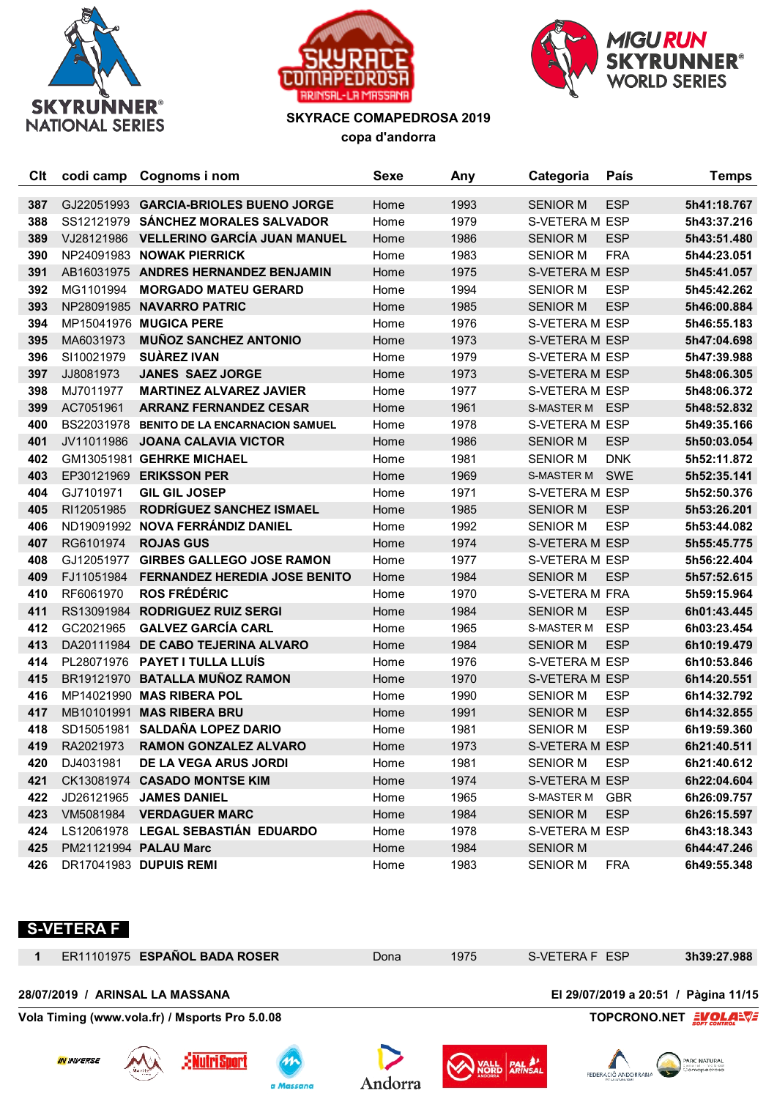





| Clt |            | codi camp Cognoms i nom                | Sexe | Any  | Categoria         | País       | <b>Temps</b> |
|-----|------------|----------------------------------------|------|------|-------------------|------------|--------------|
| 387 |            | GJ22051993 GARCIA-BRIOLES BUENO JORGE  | Home | 1993 | <b>SENIOR M</b>   | <b>ESP</b> | 5h41:18.767  |
| 388 |            | SS12121979 SÁNCHEZ MORALES SALVADOR    | Home | 1979 | S-VETERA M ESP    |            | 5h43:37.216  |
| 389 | VJ28121986 | <b>VELLERINO GARCÍA JUAN MANUEL</b>    | Home | 1986 | <b>SENIOR M</b>   | <b>ESP</b> | 5h43:51.480  |
| 390 |            | NP24091983 NOWAK PIERRICK              | Home | 1983 | <b>SENIOR M</b>   | <b>FRA</b> | 5h44:23.051  |
| 391 |            | AB16031975 ANDRES HERNANDEZ BENJAMIN   | Home | 1975 | S-VETERA M ESP    |            | 5h45:41.057  |
| 392 | MG1101994  | <b>MORGADO MATEU GERARD</b>            | Home | 1994 | <b>SENIOR M</b>   | <b>ESP</b> | 5h45:42.262  |
| 393 | NP28091985 | <b>NAVARRO PATRIC</b>                  | Home | 1985 | <b>SENIOR M</b>   | <b>ESP</b> | 5h46:00.884  |
| 394 |            | MP15041976 MUGICA PERE                 | Home | 1976 | S-VETERA M ESP    |            | 5h46:55.183  |
| 395 | MA6031973  | <b>MUÑOZ SANCHEZ ANTONIO</b>           | Home | 1973 | S-VETERA M ESP    |            | 5h47:04.698  |
| 396 | SI10021979 | <b>SUAREZ IVAN</b>                     | Home | 1979 | S-VETERA M ESP    |            | 5h47:39.988  |
| 397 | JJ8081973  | <b>JANES SAEZ JORGE</b>                | Home | 1973 | S-VETERA M ESP    |            | 5h48:06.305  |
| 398 | MJ7011977  | <b>MARTINEZ ALVAREZ JAVIER</b>         | Home | 1977 | S-VETERA M ESP    |            | 5h48:06.372  |
| 399 | AC7051961  | <b>ARRANZ FERNANDEZ CESAR</b>          | Home | 1961 | <b>S-MASTER M</b> | <b>ESP</b> | 5h48:52.832  |
| 400 | BS22031978 | <b>BENITO DE LA ENCARNACION SAMUEL</b> | Home | 1978 | S-VETERA M ESP    |            | 5h49:35.166  |
| 401 | JV11011986 | <b>JOANA CALAVIA VICTOR</b>            | Home | 1986 | <b>SENIOR M</b>   | <b>ESP</b> | 5h50:03.054  |
| 402 |            | GM13051981 GEHRKE MICHAEL              | Home | 1981 | <b>SENIOR M</b>   | <b>DNK</b> | 5h52:11.872  |
| 403 |            | EP30121969 ERIKSSON PER                | Home | 1969 | <b>S-MASTER M</b> | <b>SWE</b> | 5h52:35.141  |
| 404 | GJ7101971  | <b>GIL GIL JOSEP</b>                   | Home | 1971 | S-VETERA M ESP    |            | 5h52:50.376  |
| 405 | RI12051985 | RODRÍGUEZ SANCHEZ ISMAEL               | Home | 1985 | <b>SENIOR M</b>   | <b>ESP</b> | 5h53:26.201  |
| 406 |            | ND19091992 NOVA FERRÁNDIZ DANIEL       | Home | 1992 | <b>SENIOR M</b>   | <b>ESP</b> | 5h53:44.082  |
| 407 | RG6101974  | <b>ROJAS GUS</b>                       | Home | 1974 | S-VETERA M ESP    |            | 5h55:45.775  |
| 408 | GJ12051977 | <b>GIRBES GALLEGO JOSE RAMON</b>       | Home | 1977 | S-VETERA M ESP    |            | 5h56:22.404  |
| 409 | FJ11051984 | <b>FERNANDEZ HEREDIA JOSE BENITO</b>   | Home | 1984 | <b>SENIOR M</b>   | <b>ESP</b> | 5h57:52.615  |
| 410 | RF6061970  | <b>ROS FRÉDÉRIC</b>                    | Home | 1970 | S-VETERA M FRA    |            | 5h59:15.964  |
| 411 |            | RS13091984 RODRIGUEZ RUIZ SERGI        | Home | 1984 | <b>SENIOR M</b>   | <b>ESP</b> | 6h01:43.445  |
| 412 | GC2021965  | <b>GALVEZ GARCÍA CARL</b>              | Home | 1965 | <b>S-MASTER M</b> | <b>ESP</b> | 6h03:23.454  |
| 413 |            | DA20111984 DE CABO TEJERINA ALVARO     | Home | 1984 | <b>SENIOR M</b>   | <b>ESP</b> | 6h10:19.479  |
| 414 |            | PL28071976 PAYET I TULLA LLUÍS         | Home | 1976 | S-VETERA M ESP    |            | 6h10:53.846  |
| 415 |            | BR19121970 BATALLA MUÑOZ RAMON         | Home | 1970 | S-VETERA M ESP    |            | 6h14:20.551  |
| 416 |            | MP14021990 MAS RIBERA POL              | Home | 1990 | <b>SENIOR M</b>   | <b>ESP</b> | 6h14:32.792  |
| 417 |            | MB10101991 MAS RIBERA BRU              | Home | 1991 | <b>SENIOR M</b>   | <b>ESP</b> | 6h14:32.855  |
| 418 | SD15051981 | <b>SALDAÑA LOPEZ DARIO</b>             | Home | 1981 | <b>SENIOR M</b>   | <b>ESP</b> | 6h19:59.360  |
| 419 | RA2021973  | <b>RAMON GONZALEZ ALVARO</b>           | Home | 1973 | S-VETERA M ESP    |            | 6h21:40.511  |
| 420 | DJ4031981  | DE LA VEGA ARUS JORDI                  | Home | 1981 | <b>SENIOR M</b>   | <b>ESP</b> | 6h21:40.612  |
| 421 |            | CK13081974 CASADO MONTSE KIM           | Home | 1974 | S-VETERA M ESP    |            | 6h22:04.604  |
| 422 |            | JD26121965 JAMES DANIEL                | Home | 1965 | S-MASTER M GBR    |            | 6h26:09.757  |
| 423 |            | VM5081984 VERDAGUER MARC               | Home | 1984 | <b>SENIOR M</b>   | <b>ESP</b> | 6h26:15.597  |
| 424 |            | LS12061978 LEGAL SEBASTIÁN EDUARDO     | Home | 1978 | S-VETERA M ESP    |            | 6h43:18.343  |
| 425 |            | PM21121994 PALAU Marc                  | Home | 1984 | <b>SENIOR M</b>   |            | 6h44:47.246  |
| 426 |            | DR17041983 DUPUIS REMI                 | Home | 1983 | SENIOR M          | FRA        | 6h49:55.348  |

## **S-VETERA F**

|                   |                           | ER11101975 ESPAÑOL BADA ROSER                  |           | Dona     | 1975 | S-VETERA F ESP                                               | 3h39:27.988    |
|-------------------|---------------------------|------------------------------------------------|-----------|----------|------|--------------------------------------------------------------|----------------|
| 28/07/2019 /      | <b>ARINSAL LA MASSANA</b> |                                                |           |          |      | El 29/07/2019 a 20:51 / Pàgina 11/15                         |                |
|                   |                           | Vola Timing (www.vola.fr) / Msports Pro 5.0.08 |           |          |      | <b>TOPCRONO.NET</b>                                          | <b>EVOLARS</b> |
| <b>IN INVERSE</b> | Moritz                    | <u> :ENutriSport</u>                           | a Massana | ⊶dorro - |      | <b>PALA!</b><br>FEDERACIÓ ANDORRAN<br><b>DE MUNICIPALISM</b> | PARC NATURAL   |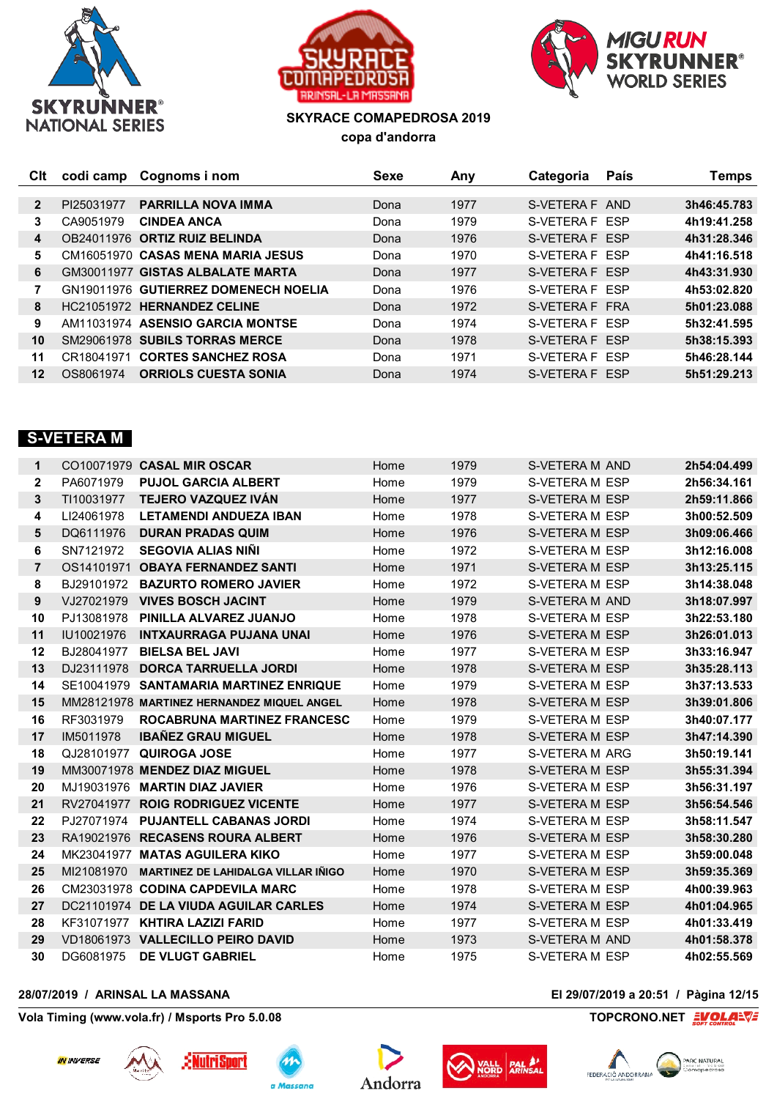





| Clt            | codi camp  | Cognoms i nom                        | Sexe | Any  | Categoria      | <b>País</b> | Temps       |
|----------------|------------|--------------------------------------|------|------|----------------|-------------|-------------|
|                |            |                                      |      |      |                |             |             |
| $\overline{2}$ | PI25031977 | <b>PARRILLA NOVA IMMA</b>            | Dona | 1977 | S-VETERA F AND |             | 3h46:45.783 |
| 3              | CA9051979  | <b>CINDEA ANCA</b>                   | Dona | 1979 | S-VETERA F ESP |             | 4h19:41.258 |
| 4              |            | OB24011976 ORTIZ RUIZ BELINDA        | Dona | 1976 | S-VETERA F ESP |             | 4h31:28.346 |
| 5.             |            | CM16051970 CASAS MENA MARIA JESUS    | Dona | 1970 | S-VETERA F FSP |             | 4h41:16.518 |
| 6              |            | GM30011977 GISTAS ALBALATE MARTA     | Dona | 1977 | S-VETERA F FSP |             | 4h43:31.930 |
|                |            | GN19011976 GUTIERREZ DOMENECH NOELIA | Dona | 1976 | S-VETERA F FSP |             | 4h53:02.820 |
| 8              |            | HC21051972 HERNANDEZ CELINE          | Dona | 1972 | S-VETERA F FRA |             | 5h01:23.088 |
| 9              |            | AM11031974 ASENSIO GARCIA MONTSE     | Dona | 1974 | S-VETERA F ESP |             | 5h32:41.595 |
| 10             |            | SM29061978 SUBILS TORRAS MERCE       | Dona | 1978 | S-VETERA F ESP |             | 5h38:15.393 |
| 11             | CR18041971 | <b>CORTES SANCHEZ ROSA</b>           | Dona | 1971 | S-VETERA F ESP |             | 5h46:28.144 |
| 12             | OS8061974  | <b>ORRIOLS CUESTA SONIA</b>          | Dona | 1974 | S-VETERA F ESP |             | 5h51:29.213 |

## **S-VETERA M**

| 1              |            | CO10071979 CASAL MIR OSCAR                 | Home | 1979 | S-VETERA M AND        | 2h54:04.499 |
|----------------|------------|--------------------------------------------|------|------|-----------------------|-------------|
| $\mathbf{2}$   | PA6071979  | <b>PUJOL GARCIA ALBERT</b>                 | Home | 1979 | S-VETERA M ESP        | 2h56:34.161 |
| 3              | TI10031977 | <b>TEJERO VAZQUEZ IVÁN</b>                 | Home | 1977 | S-VETERA M ESP        | 2h59:11.866 |
| 4              | LI24061978 | <b>LETAMENDI ANDUEZA IBAN</b>              | Home | 1978 | S-VETERA M ESP        | 3h00:52.509 |
| 5              | DQ6111976  | <b>DURAN PRADAS QUIM</b>                   | Home | 1976 | S-VETERA M ESP        | 3h09:06.466 |
| 6              | SN7121972  | <b>SEGOVIA ALIAS NINI</b>                  | Home | 1972 | S-VETERA M ESP        | 3h12:16.008 |
| $\overline{7}$ | OS14101971 | <b>OBAYA FERNANDEZ SANTI</b>               | Home | 1971 | S-VETERA M ESP        | 3h13:25.115 |
| 8              | BJ29101972 | <b>BAZURTO ROMERO JAVIER</b>               | Home | 1972 | S-VETERA M ESP        | 3h14:38.048 |
| 9              | VJ27021979 | <b>VIVES BOSCH JACINT</b>                  | Home | 1979 | S-VETERA M AND        | 3h18:07.997 |
| 10             | PJ13081978 | PINILLA ALVAREZ JUANJO                     | Home | 1978 | S-VETERA M ESP        | 3h22:53.180 |
| 11             | IU10021976 | <b>INTXAURRAGA PUJANA UNAI</b>             | Home | 1976 | S-VETERA M ESP        | 3h26:01.013 |
| 12             | BJ28041977 | <b>BIELSA BEL JAVI</b>                     | Home | 1977 | S-VETERA M ESP        | 3h33:16.947 |
| 13             | DJ23111978 | <b>DORCA TARRUELLA JORDI</b>               | Home | 1978 | S-VETERA M ESP        | 3h35:28.113 |
| 14             | SE10041979 | <b>SANTAMARIA MARTINEZ ENRIQUE</b>         | Home | 1979 | S-VETERA M ESP        | 3h37:13.533 |
| 15             |            | MM28121978 MARTINEZ HERNANDEZ MIQUEL ANGEL | Home | 1978 | S-VETERA M ESP        | 3h39:01.806 |
| 16             | RF3031979  | <b>ROCABRUNA MARTINEZ FRANCESC</b>         | Home | 1979 | S-VETERA M ESP        | 3h40:07.177 |
| 17             | IM5011978  | <b>IBAÑEZ GRAU MIGUEL</b>                  | Home | 1978 | <b>S-VETERA M ESP</b> | 3h47:14.390 |
| 18             | QJ28101977 | QUIROGA JOSE                               | Home | 1977 | S-VETERA M ARG        | 3h50:19.141 |
| 19             |            | MM30071978 MENDEZ DIAZ MIGUEL              | Home | 1978 | S-VETERA M ESP        | 3h55:31.394 |
| 20             |            | MJ19031976 MARTIN DIAZ JAVIER              | Home | 1976 | S-VETERA M ESP        | 3h56:31.197 |
| 21             | RV27041977 | <b>ROIG RODRIGUEZ VICENTE</b>              | Home | 1977 | S-VETERA M ESP        | 3h56:54.546 |
| 22             | PJ27071974 | <b>PUJANTELL CABANAS JORDI</b>             | Home | 1974 | S-VETERA M ESP        | 3h58:11.547 |
| 23             |            | RA19021976 RECASENS ROURA ALBERT           | Home | 1976 | S-VETERA M ESP        | 3h58:30.280 |
| 24             |            | MK23041977 MATAS AGUILERA KIKO             | Home | 1977 | S-VETERA M ESP        | 3h59:00.048 |
| 25             | MI21081970 | <b>MARTINEZ DE LAHIDALGA VILLAR IÑIGO</b>  | Home | 1970 | S-VETERA M ESP        | 3h59:35.369 |
| 26             |            | CM23031978 CODINA CAPDEVILA MARC           | Home | 1978 | S-VETERA M ESP        | 4h00:39.963 |
| 27             |            | DC21101974 DE LA VIUDA AGUILAR CARLES      | Home | 1974 | S-VETERA M ESP        | 4h01:04.965 |
| 28             |            | KF31071977 KHTIRA LAZIZI FARID             | Home | 1977 | S-VETERA M ESP        | 4h01:33.419 |
| 29             |            | VD18061973 VALLECILLO PEIRO DAVID          | Home | 1973 | S-VETERA M AND        | 4h01:58.378 |
| 30             | DG6081975  | <b>DE VLUGT GABRIEL</b>                    | Home | 1975 | S-VETERA M ESP        | 4h02:55.569 |

## **28/07/2019 / ARINSAL LA MASSANA El 29/07/2019 a 20:51 / Pàgina 12/15**

**Vola Timing (www.vola.fr) / Msports Pro 5.0.08 TOPCRONO.NET**  $\frac{2VOL}{S}$ 











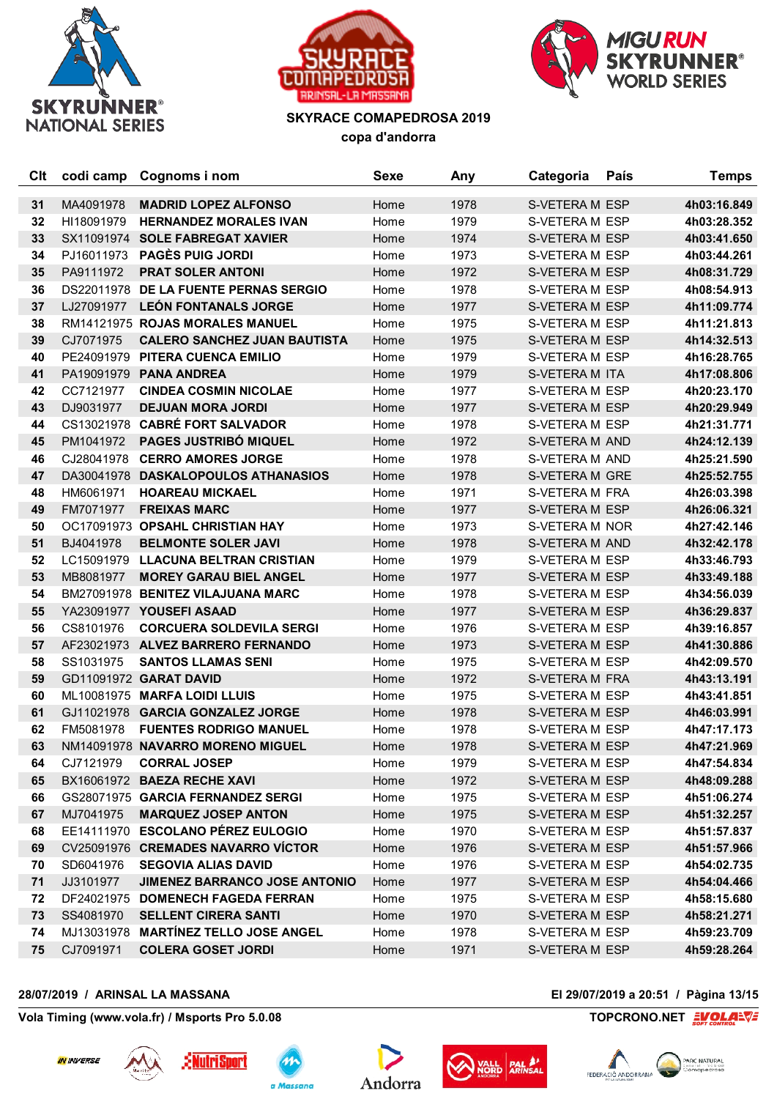





| Clt | codi camp  | Cognoms i nom                         | <b>Sexe</b> | Any  | Categoria             | País | <b>Temps</b> |
|-----|------------|---------------------------------------|-------------|------|-----------------------|------|--------------|
| 31  | MA4091978  | <b>MADRID LOPEZ ALFONSO</b>           | Home        | 1978 | <b>S-VETERA M ESP</b> |      | 4h03:16.849  |
| 32  | HI18091979 | <b>HERNANDEZ MORALES IVAN</b>         | Home        | 1979 | S-VETERA M ESP        |      | 4h03:28.352  |
| 33  |            | SX11091974 SOLE FABREGAT XAVIER       | Home        | 1974 | S-VETERA M ESP        |      | 4h03:41.650  |
| 34  | PJ16011973 | <b>PAGÈS PUIG JORDI</b>               | Home        | 1973 | S-VETERA M ESP        |      | 4h03:44.261  |
| 35  | PA9111972  | <b>PRAT SOLER ANTONI</b>              | Home        | 1972 | S-VETERA M ESP        |      | 4h08:31.729  |
| 36  |            | DS22011978 DE LA FUENTE PERNAS SERGIO | Home        | 1978 | S-VETERA M ESP        |      | 4h08:54.913  |
| 37  |            | LJ27091977 LEÓN FONTANALS JORGE       | Home        | 1977 | S-VETERA M ESP        |      | 4h11:09.774  |
| 38  |            | RM14121975 ROJAS MORALES MANUEL       | Home        | 1975 | S-VETERA M ESP        |      | 4h11:21.813  |
| 39  | CJ7071975  | <b>CALERO SANCHEZ JUAN BAUTISTA</b>   | Home        | 1975 | S-VETERA M ESP        |      | 4h14:32.513  |
| 40  | PE24091979 | PITERA CUENCA EMILIO                  | Home        | 1979 | S-VETERA M ESP        |      | 4h16:28.765  |
| 41  |            | PA19091979 PANA ANDREA                | Home        | 1979 | S-VETERA M ITA        |      | 4h17:08.806  |
| 42  | CC7121977  | <b>CINDEA COSMIN NICOLAE</b>          | Home        | 1977 | S-VETERA M ESP        |      | 4h20:23.170  |
| 43  | DJ9031977  | <b>DEJUAN MORA JORDI</b>              | Home        | 1977 | S-VETERA M ESP        |      | 4h20:29.949  |
| 44  |            | CS13021978 CABRÉ FORT SALVADOR        | Home        | 1978 | S-VETERA M ESP        |      | 4h21:31.771  |
| 45  | PM1041972  | <b>PAGES JUSTRIBÓ MIQUEL</b>          | Home        | 1972 | S-VETERA M AND        |      | 4h24:12.139  |
| 46  | CJ28041978 | <b>CERRO AMORES JORGE</b>             | Home        | 1978 | S-VETERA M AND        |      | 4h25:21.590  |
| 47  |            | DA30041978 DASKALOPOULOS ATHANASIOS   | Home        | 1978 | S-VETERA M GRE        |      | 4h25:52.755  |
| 48  | HM6061971  | <b>HOAREAU MICKAEL</b>                | Home        | 1971 | S-VETERA M FRA        |      | 4h26:03.398  |
| 49  | FM7071977  | <b>FREIXAS MARC</b>                   | Home        | 1977 | S-VETERA M ESP        |      | 4h26:06.321  |
| 50  |            | OC17091973 OPSAHL CHRISTIAN HAY       | Home        | 1973 | S-VETERA M NOR        |      | 4h27:42.146  |
| 51  | BJ4041978  | <b>BELMONTE SOLER JAVI</b>            | Home        | 1978 | S-VETERA M AND        |      | 4h32:42.178  |
| 52  | LC15091979 | <b>LLACUNA BELTRAN CRISTIAN</b>       | Home        | 1979 | S-VETERA M ESP        |      | 4h33:46.793  |
| 53  | MB8081977  | <b>MOREY GARAU BIEL ANGEL</b>         | Home        | 1977 | S-VETERA M ESP        |      | 4h33:49.188  |
| 54  |            | BM27091978 BENITEZ VILAJUANA MARC     | Home        | 1978 | S-VETERA M ESP        |      | 4h34:56.039  |
| 55  |            | YA23091977 YOUSEFI ASAAD              | Home        | 1977 | S-VETERA M ESP        |      | 4h36:29.837  |
| 56  | CS8101976  | <b>CORCUERA SOLDEVILA SERGI</b>       | Home        | 1976 | S-VETERA M ESP        |      | 4h39:16.857  |
| 57  |            | AF23021973 ALVEZ BARRERO FERNANDO     | Home        | 1973 | S-VETERA M ESP        |      | 4h41:30.886  |
| 58  | SS1031975  | <b>SANTOS LLAMAS SENI</b>             | Home        | 1975 | S-VETERA M ESP        |      | 4h42:09.570  |
| 59  |            | GD11091972 GARAT DAVID                | Home        | 1972 | S-VETERA M FRA        |      | 4h43:13.191  |
| 60  |            | ML10081975 MARFA LOIDI LLUIS          | Home        | 1975 | S-VETERA M ESP        |      | 4h43:41.851  |
| 61  |            | GJ11021978 GARCIA GONZALEZ JORGE      | Home        | 1978 | S-VETERA M ESP        |      | 4h46:03.991  |
| 62  | FM5081978  | <b>FUENTES RODRIGO MANUEL</b>         | Home        | 1978 | S-VETERA M ESP        |      | 4h47:17.173  |
| 63  |            | NM14091978 NAVARRO MORENO MIGUEL      | Home        | 1978 | S-VETERA M ESP        |      | 4h47:21.969  |
| 64  | CJ7121979  | <b>CORRAL JOSEP</b>                   | Home        | 1979 | S-VETERA M ESP        |      | 4h47:54.834  |
| 65  |            | BX16061972 BAEZA RECHE XAVI           | Home        | 1972 | S-VETERA M ESP        |      | 4h48:09.288  |
| 66  |            | GS28071975 GARCIA FERNANDEZ SERGI     | Home        | 1975 | S-VETERA M ESP        |      | 4h51:06.274  |
| 67  | MJ7041975  | <b>MARQUEZ JOSEP ANTON</b>            | Home        | 1975 | S-VETERA M ESP        |      | 4h51:32.257  |
| 68  |            | EE14111970 ESCOLANO PÉREZ EULOGIO     | Home        | 1970 | S-VETERA M ESP        |      | 4h51:57.837  |
| 69  |            | CV25091976 CREMADES NAVARRO VÍCTOR    | Home        | 1976 | S-VETERA M ESP        |      | 4h51:57.966  |
| 70  | SD6041976  | <b>SEGOVIA ALIAS DAVID</b>            | Home        | 1976 | S-VETERA M ESP        |      | 4h54:02.735  |
| 71  | JJ3101977  | <b>JIMENEZ BARRANCO JOSE ANTONIO</b>  | Home        | 1977 | S-VETERA M ESP        |      | 4h54:04.466  |
| 72  |            | DF24021975 DOMENECH FAGEDA FERRAN     | Home        | 1975 | S-VETERA M ESP        |      | 4h58:15.680  |
| 73  | SS4081970  | <b>SELLENT CIRERA SANTI</b>           | Home        | 1970 | S-VETERA M ESP        |      | 4h58:21.271  |
| 74  |            | MJ13031978 MARTÍNEZ TELLO JOSE ANGEL  | Home        | 1978 | S-VETERA M ESP        |      | 4h59:23.709  |
| 75  | CJ7091971  | <b>COLERA GOSET JORDI</b>             | Home        | 1971 | S-VETERA M ESP        |      | 4h59:28.264  |

## **28/07/2019 / ARINSAL LA MASSANA El 29/07/2019 a 20:51 / Pàgina 13/15**

**Vola Timing (www.vola.fr) / Msports Pro 5.0.08 TOPCRONO.NET** 











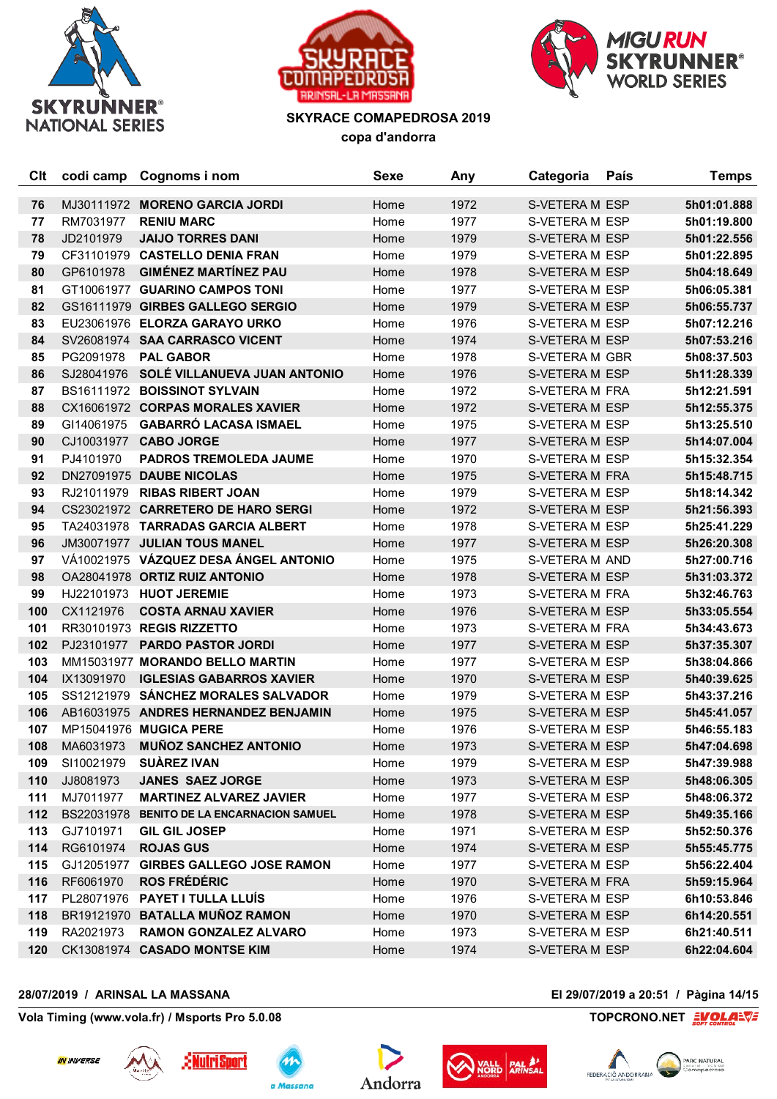





| Clt | codi camp  | Cognoms i nom                              | <b>Sexe</b> | Any  | Categoria      | País | <b>Temps</b> |
|-----|------------|--------------------------------------------|-------------|------|----------------|------|--------------|
| 76  |            | MJ30111972 MORENO GARCIA JORDI             | Home        | 1972 | S-VETERA M ESP |      | 5h01:01.888  |
| 77  | RM7031977  | <b>RENIU MARC</b>                          | Home        | 1977 | S-VETERA M ESP |      | 5h01:19.800  |
| 78  | JD2101979  | <b>JAIJO TORRES DANI</b>                   | Home        | 1979 | S-VETERA M ESP |      | 5h01:22.556  |
| 79  |            | CF31101979 CASTELLO DENIA FRAN             | Home        | 1979 | S-VETERA M ESP |      | 5h01:22.895  |
| 80  | GP6101978  | <b>GIMÉNEZ MARTÍNEZ PAU</b>                | Home        | 1978 | S-VETERA M ESP |      | 5h04:18.649  |
| 81  |            | GT10061977 GUARINO CAMPOS TONI             | Home        | 1977 | S-VETERA M ESP |      | 5h06:05.381  |
| 82  |            | GS16111979 GIRBES GALLEGO SERGIO           | Home        | 1979 | S-VETERA M ESP |      | 5h06:55.737  |
| 83  |            | EU23061976 ELORZA GARAYO URKO              | Home        | 1976 | S-VETERA M ESP |      | 5h07:12.216  |
| 84  |            | SV26081974 SAA CARRASCO VICENT             | Home        | 1974 | S-VETERA M ESP |      | 5h07:53.216  |
| 85  | PG2091978  | <b>PAL GABOR</b>                           | Home        | 1978 | S-VETERA M GBR |      | 5h08:37.503  |
| 86  | SJ28041976 | SOLÉ VILLANUEVA JUAN ANTONIO               | Home        | 1976 | S-VETERA M ESP |      | 5h11:28.339  |
| 87  |            | BS16111972 BOISSINOT SYLVAIN               | Home        | 1972 | S-VETERA M FRA |      | 5h12:21.591  |
| 88  |            | CX16061972 CORPAS MORALES XAVIER           | Home        | 1972 | S-VETERA M ESP |      | 5h12:55.375  |
| 89  | GI14061975 | <b>GABARRÓ LACASA ISMAEL</b>               | Home        | 1975 | S-VETERA M ESP |      | 5h13:25.510  |
| 90  |            | CJ10031977 CABO JORGE                      | Home        | 1977 | S-VETERA M ESP |      | 5h14:07.004  |
| 91  | PJ4101970  | <b>PADROS TREMOLEDA JAUME</b>              | Home        | 1970 | S-VETERA M ESP |      | 5h15:32.354  |
| 92  |            | DN27091975 DAUBE NICOLAS                   | Home        | 1975 | S-VETERA M FRA |      | 5h15:48.715  |
| 93  |            | RJ21011979 RIBAS RIBERT JOAN               | Home        | 1979 | S-VETERA M ESP |      | 5h18:14.342  |
| 94  |            | CS23021972 CARRETERO DE HARO SERGI         | Home        | 1972 | S-VETERA M ESP |      | 5h21:56.393  |
| 95  |            | TA24031978 TARRADAS GARCIA ALBERT          | Home        | 1978 | S-VETERA M ESP |      | 5h25:41.229  |
| 96  |            | JM30071977 JULIAN TOUS MANEL               | Home        | 1977 | S-VETERA M ESP |      | 5h26:20.308  |
| 97  |            | VÁ10021975 VÁZQUEZ DESA ÁNGEL ANTONIO      | Home        | 1975 | S-VETERA M AND |      | 5h27:00.716  |
| 98  |            | OA28041978 ORTIZ RUIZ ANTONIO              | Home        | 1978 | S-VETERA M ESP |      | 5h31:03.372  |
| 99  |            | HJ22101973 HUOT JEREMIE                    | Home        | 1973 | S-VETERA M FRA |      | 5h32:46.763  |
| 100 | CX1121976  | <b>COSTA ARNAU XAVIER</b>                  | Home        | 1976 | S-VETERA M ESP |      | 5h33:05.554  |
| 101 |            | RR30101973 REGIS RIZZETTO                  | Home        | 1973 | S-VETERA M FRA |      | 5h34:43.673  |
| 102 | PJ23101977 | <b>PARDO PASTOR JORDI</b>                  | Home        | 1977 | S-VETERA M ESP |      | 5h37:35.307  |
| 103 |            | MM15031977 MORANDO BELLO MARTIN            | Home        | 1977 | S-VETERA M ESP |      | 5h38:04.866  |
| 104 | IX13091970 | <b>IGLESIAS GABARROS XAVIER</b>            | Home        | 1970 | S-VETERA M ESP |      | 5h40:39.625  |
| 105 |            | SS12121979 SÁNCHEZ MORALES SALVADOR        | Home        | 1979 | S-VETERA M ESP |      | 5h43:37.216  |
| 106 |            | AB16031975 ANDRES HERNANDEZ BENJAMIN       | Home        | 1975 | S-VETERA M ESP |      | 5h45:41.057  |
| 107 |            | MP15041976 MUGICA PERE                     | Home        | 1976 | S-VETERA M ESP |      | 5h46:55.183  |
| 108 | MA6031973  | <b>MUÑOZ SANCHEZ ANTONIO</b>               | Home        | 1973 | S-VETERA M ESP |      | 5h47:04.698  |
| 109 | SI10021979 | <b>SUAREZ IVAN</b>                         | Home        | 1979 | S-VETERA M ESP |      | 5h47:39.988  |
| 110 | JJ8081973  | <b>JANES SAEZ JORGE</b>                    | Home        | 1973 | S-VETERA M ESP |      | 5h48:06.305  |
| 111 | MJ7011977  | <b>MARTINEZ ALVAREZ JAVIER</b>             | Home        | 1977 | S-VETERA M ESP |      | 5h48:06.372  |
| 112 |            | BS22031978 BENITO DE LA ENCARNACION SAMUEL | Home        | 1978 | S-VETERA M ESP |      | 5h49:35.166  |
| 113 | GJ7101971  | <b>GIL GIL JOSEP</b>                       | Home        | 1971 | S-VETERA M ESP |      | 5h52:50.376  |
| 114 | RG6101974  | <b>ROJAS GUS</b>                           | Home        | 1974 | S-VETERA M ESP |      | 5h55:45.775  |
| 115 | GJ12051977 | <b>GIRBES GALLEGO JOSE RAMON</b>           | Home        | 1977 | S-VETERA M ESP |      | 5h56:22.404  |
| 116 | RF6061970  | <b>ROS FRÉDÉRIC</b>                        | Home        | 1970 | S-VETERA M FRA |      | 5h59:15.964  |
| 117 | PL28071976 | <b>PAYET I TULLA LLUÍS</b>                 | Home        | 1976 | S-VETERA M ESP |      | 6h10:53.846  |
| 118 |            | BR19121970 BATALLA MUÑOZ RAMON             | Home        | 1970 | S-VETERA M ESP |      | 6h14:20.551  |
| 119 | RA2021973  | <b>RAMON GONZALEZ ALVARO</b>               | Home        | 1973 | S-VETERA M ESP |      | 6h21:40.511  |
| 120 |            | CK13081974 CASADO MONTSE KIM               | Home        | 1974 | S-VETERA M ESP |      | 6h22:04.604  |

## **28/07/2019 / ARINSAL LA MASSANA El 29/07/2019 a 20:51 / Pàgina 14/15**

**Vola Timing (www.vola.fr) / Msports Pro 5.0.08 TOPCRONO.NET**